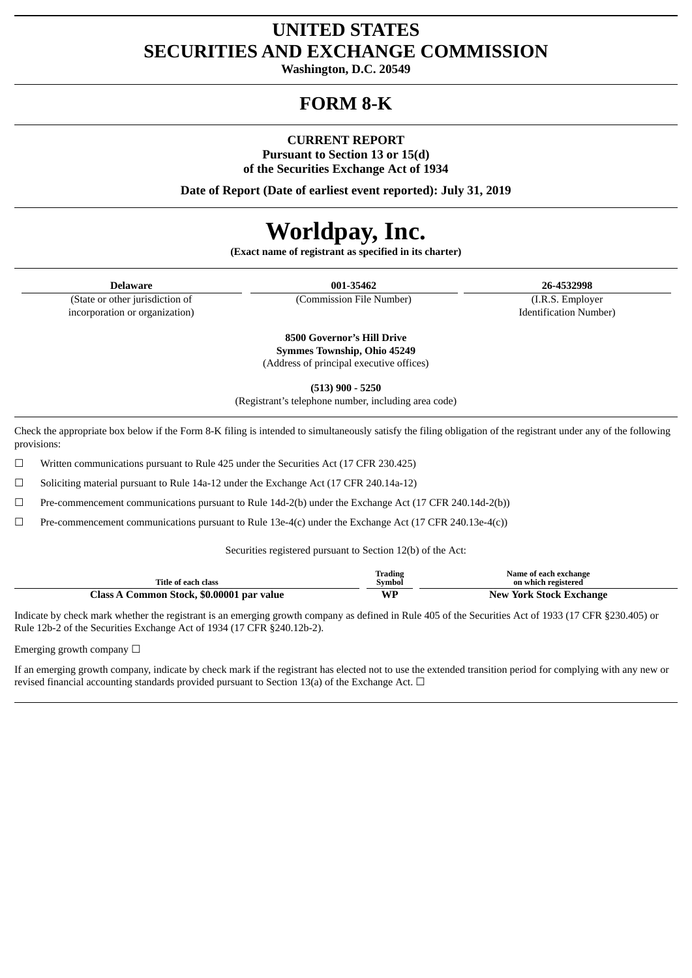# **UNITED STATES SECURITIES AND EXCHANGE COMMISSION**

**Washington, D.C. 20549**

# **FORM 8-K**

# **CURRENT REPORT**

**Pursuant to Section 13 or 15(d)**

**of the Securities Exchange Act of 1934**

**Date of Report (Date of earliest event reported): July 31, 2019**

# **Worldpay, Inc.**

**(Exact name of registrant as specified in its charter)**

| Delaware                        |  |  |
|---------------------------------|--|--|
| (State or other jurisdiction of |  |  |
| incorporation or organization)  |  |  |

**Delaware 001-35462 26-4532998** (Commission File Number) (I.R.S. Employer Identification Number)

**8500 Governor's Hill Drive Symmes Township, Ohio 45249** (Address of principal executive offices)

**(513) 900 - 5250**

(Registrant's telephone number, including area code)

Check the appropriate box below if the Form 8-K filing is intended to simultaneously satisfy the filing obligation of the registrant under any of the following provisions:

☐ Written communications pursuant to Rule 425 under the Securities Act (17 CFR 230.425)

☐ Soliciting material pursuant to Rule 14a-12 under the Exchange Act (17 CFR 240.14a-12)

☐ Pre-commencement communications pursuant to Rule 14d-2(b) under the Exchange Act (17 CFR 240.14d-2(b))

 $□$  Pre-commencement communications pursuant to Rule 13e-4(c) under the Exchange Act (17 CFR 240.13e-4(c))

Securities registered pursuant to Section 12(b) of the Act:

| Title of each class                       | Trading<br>Svmbol | Name of each exchange<br>on which registered |
|-------------------------------------------|-------------------|----------------------------------------------|
| Class A Common Stock, \$0.00001 par value | WF                | <b>New York Stock Exchange</b>               |

Indicate by check mark whether the registrant is an emerging growth company as defined in Rule 405 of the Securities Act of 1933 (17 CFR §230.405) or Rule 12b-2 of the Securities Exchange Act of 1934 (17 CFR §240.12b-2).

Emerging growth company  $\Box$ 

If an emerging growth company, indicate by check mark if the registrant has elected not to use the extended transition period for complying with any new or revised financial accounting standards provided pursuant to Section 13(a) of the Exchange Act.  $\Box$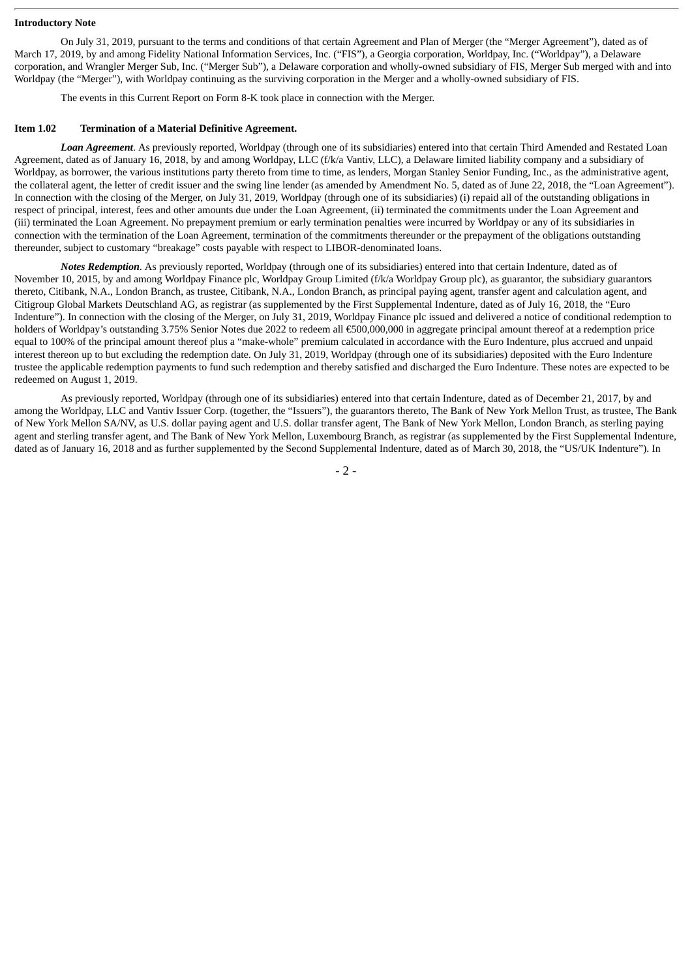#### **Introductory Note**

On July 31, 2019, pursuant to the terms and conditions of that certain Agreement and Plan of Merger (the "Merger Agreement"), dated as of March 17, 2019, by and among Fidelity National Information Services, Inc. ("FIS"), a Georgia corporation, Worldpay, Inc. ("Worldpay"), a Delaware corporation, and Wrangler Merger Sub, Inc. ("Merger Sub"), a Delaware corporation and wholly-owned subsidiary of FIS, Merger Sub merged with and into Worldpay (the "Merger"), with Worldpay continuing as the surviving corporation in the Merger and a wholly-owned subsidiary of FIS.

The events in this Current Report on Form 8-K took place in connection with the Merger.

#### **Item 1.02 Termination of a Material Definitive Agreement.**

*Loan Agreement*. As previously reported, Worldpay (through one of its subsidiaries) entered into that certain Third Amended and Restated Loan Agreement, dated as of January 16, 2018, by and among Worldpay, LLC (f/k/a Vantiv, LLC), a Delaware limited liability company and a subsidiary of Worldpay, as borrower, the various institutions party thereto from time to time, as lenders, Morgan Stanley Senior Funding, Inc., as the administrative agent, the collateral agent, the letter of credit issuer and the swing line lender (as amended by Amendment No. 5, dated as of June 22, 2018, the "Loan Agreement"). In connection with the closing of the Merger, on July 31, 2019, Worldpay (through one of its subsidiaries) (i) repaid all of the outstanding obligations in respect of principal, interest, fees and other amounts due under the Loan Agreement, (ii) terminated the commitments under the Loan Agreement and (iii) terminated the Loan Agreement. No prepayment premium or early termination penalties were incurred by Worldpay or any of its subsidiaries in connection with the termination of the Loan Agreement, termination of the commitments thereunder or the prepayment of the obligations outstanding thereunder, subject to customary "breakage" costs payable with respect to LIBOR-denominated loans.

*Notes Redemption*. As previously reported, Worldpay (through one of its subsidiaries) entered into that certain Indenture, dated as of November 10, 2015, by and among Worldpay Finance plc, Worldpay Group Limited (f/k/a Worldpay Group plc), as guarantor, the subsidiary guarantors thereto, Citibank, N.A., London Branch, as trustee, Citibank, N.A., London Branch, as principal paying agent, transfer agent and calculation agent, and Citigroup Global Markets Deutschland AG, as registrar (as supplemented by the First Supplemental Indenture, dated as of July 16, 2018, the "Euro Indenture"). In connection with the closing of the Merger, on July 31, 2019, Worldpay Finance plc issued and delivered a notice of conditional redemption to holders of Worldpay's outstanding 3.75% Senior Notes due 2022 to redeem all €500,000,000 in aggregate principal amount thereof at a redemption price equal to 100% of the principal amount thereof plus a "make-whole" premium calculated in accordance with the Euro Indenture, plus accrued and unpaid interest thereon up to but excluding the redemption date. On July 31, 2019, Worldpay (through one of its subsidiaries) deposited with the Euro Indenture trustee the applicable redemption payments to fund such redemption and thereby satisfied and discharged the Euro Indenture. These notes are expected to be redeemed on August 1, 2019.

As previously reported, Worldpay (through one of its subsidiaries) entered into that certain Indenture, dated as of December 21, 2017, by and among the Worldpay, LLC and Vantiv Issuer Corp. (together, the "Issuers"), the guarantors thereto, The Bank of New York Mellon Trust, as trustee, The Bank of New York Mellon SA/NV, as U.S. dollar paying agent and U.S. dollar transfer agent, The Bank of New York Mellon, London Branch, as sterling paying agent and sterling transfer agent, and The Bank of New York Mellon, Luxembourg Branch, as registrar (as supplemented by the First Supplemental Indenture, dated as of January 16, 2018 and as further supplemented by the Second Supplemental Indenture, dated as of March 30, 2018, the "US/UK Indenture"). In

 $-2-$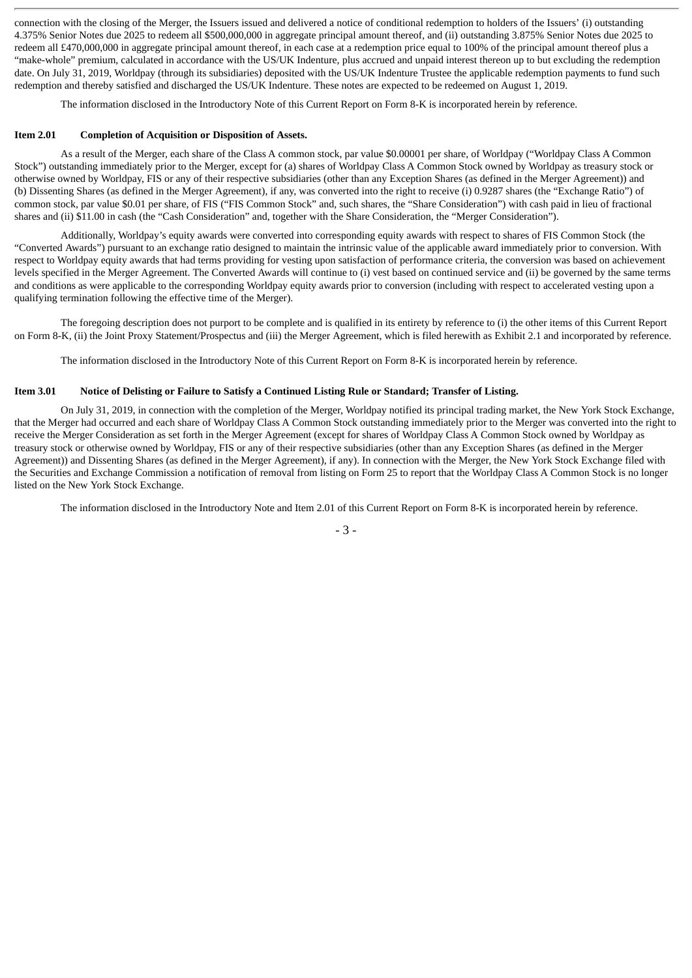connection with the closing of the Merger, the Issuers issued and delivered a notice of conditional redemption to holders of the Issuers' (i) outstanding 4.375% Senior Notes due 2025 to redeem all \$500,000,000 in aggregate principal amount thereof, and (ii) outstanding 3.875% Senior Notes due 2025 to redeem all £470,000,000 in aggregate principal amount thereof, in each case at a redemption price equal to 100% of the principal amount thereof plus a "make-whole" premium, calculated in accordance with the US/UK Indenture, plus accrued and unpaid interest thereon up to but excluding the redemption date. On July 31, 2019, Worldpay (through its subsidiaries) deposited with the US/UK Indenture Trustee the applicable redemption payments to fund such redemption and thereby satisfied and discharged the US/UK Indenture. These notes are expected to be redeemed on August 1, 2019.

The information disclosed in the Introductory Note of this Current Report on Form 8-K is incorporated herein by reference.

#### **Item 2.01 Completion of Acquisition or Disposition of Assets.**

As a result of the Merger, each share of the Class A common stock, par value \$0.00001 per share, of Worldpay ("Worldpay Class A Common Stock") outstanding immediately prior to the Merger, except for (a) shares of Worldpay Class A Common Stock owned by Worldpay as treasury stock or otherwise owned by Worldpay, FIS or any of their respective subsidiaries (other than any Exception Shares (as defined in the Merger Agreement)) and (b) Dissenting Shares (as defined in the Merger Agreement), if any, was converted into the right to receive (i) 0.9287 shares (the "Exchange Ratio") of common stock, par value \$0.01 per share, of FIS ("FIS Common Stock" and, such shares, the "Share Consideration") with cash paid in lieu of fractional shares and (ii) \$11.00 in cash (the "Cash Consideration" and, together with the Share Consideration, the "Merger Consideration").

Additionally, Worldpay's equity awards were converted into corresponding equity awards with respect to shares of FIS Common Stock (the "Converted Awards") pursuant to an exchange ratio designed to maintain the intrinsic value of the applicable award immediately prior to conversion. With respect to Worldpay equity awards that had terms providing for vesting upon satisfaction of performance criteria, the conversion was based on achievement levels specified in the Merger Agreement. The Converted Awards will continue to (i) vest based on continued service and (ii) be governed by the same terms and conditions as were applicable to the corresponding Worldpay equity awards prior to conversion (including with respect to accelerated vesting upon a qualifying termination following the effective time of the Merger).

The foregoing description does not purport to be complete and is qualified in its entirety by reference to (i) the other items of this Current Report on Form 8-K, (ii) the Joint Proxy Statement/Prospectus and (iii) the Merger Agreement, which is filed herewith as Exhibit 2.1 and incorporated by reference.

The information disclosed in the Introductory Note of this Current Report on Form 8-K is incorporated herein by reference.

#### Item 3.01 Notice of Delisting or Failure to Satisfy a Continued Listing Rule or Standard: Transfer of Listing.

On July 31, 2019, in connection with the completion of the Merger, Worldpay notified its principal trading market, the New York Stock Exchange, that the Merger had occurred and each share of Worldpay Class A Common Stock outstanding immediately prior to the Merger was converted into the right to receive the Merger Consideration as set forth in the Merger Agreement (except for shares of Worldpay Class A Common Stock owned by Worldpay as treasury stock or otherwise owned by Worldpay, FIS or any of their respective subsidiaries (other than any Exception Shares (as defined in the Merger Agreement)) and Dissenting Shares (as defined in the Merger Agreement), if any). In connection with the Merger, the New York Stock Exchange filed with the Securities and Exchange Commission a notification of removal from listing on Form 25 to report that the Worldpay Class A Common Stock is no longer listed on the New York Stock Exchange.

The information disclosed in the Introductory Note and Item 2.01 of this Current Report on Form 8-K is incorporated herein by reference.

- 3 -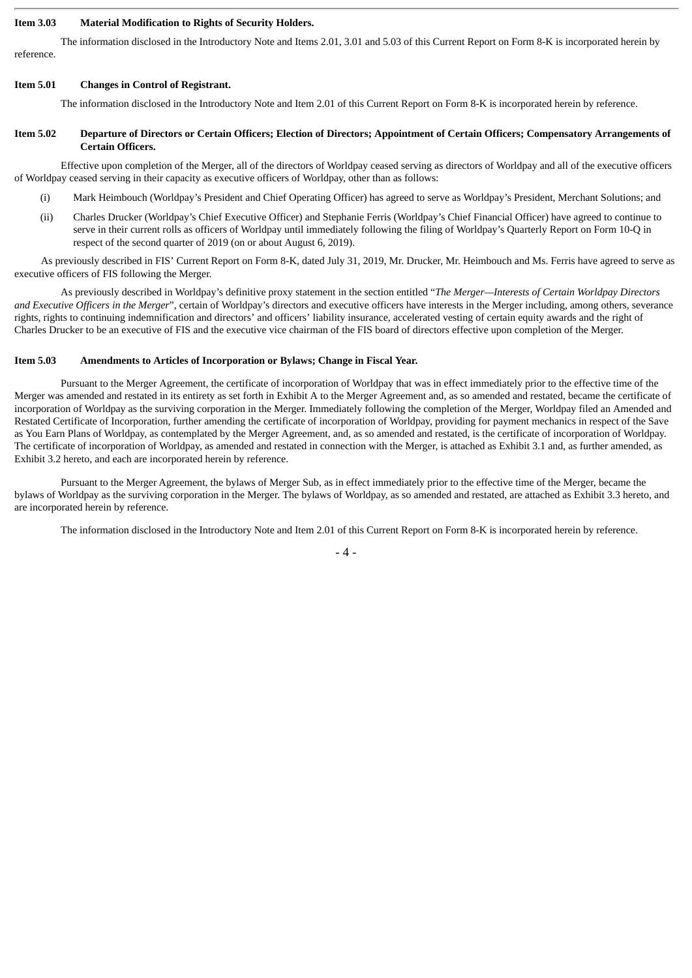#### **Item 3.03 Material Modification to Rights of Security Holders.**

The information disclosed in the Introductory Note and Items 2.01, 3.01 and 5.03 of this Current Report on Form 8-K is incorporated herein by reference.

#### **Item 5.01 Changes in Control of Registrant.**

The information disclosed in the Introductory Note and Item 2.01 of this Current Report on Form 8-K is incorporated herein by reference.

#### Item 5.02 Departure of Directors or Certain Officers; Election of Directors; Appointment of Certain Officers; Compensatory Arrangements of **Certain Officers.**

Effective upon completion of the Merger, all of the directors of Worldpay ceased serving as directors of Worldpay and all of the executive officers of Worldpay ceased serving in their capacity as executive officers of Worldpay, other than as follows:

- (i) Mark Heimbouch (Worldpay's President and Chief Operating Officer) has agreed to serve as Worldpay's President, Merchant Solutions; and
- (ii) Charles Drucker (Worldpay's Chief Executive Officer) and Stephanie Ferris (Worldpay's Chief Financial Officer) have agreed to continue to serve in their current rolls as officers of Worldpay until immediately following the filing of Worldpay's Quarterly Report on Form 10-Q in respect of the second quarter of 2019 (on or about August 6, 2019).

As previously described in FIS' Current Report on Form 8-K, dated July 31, 2019, Mr. Drucker, Mr. Heimbouch and Ms. Ferris have agreed to serve as executive officers of FIS following the Merger.

As previously described in Worldpay's definitive proxy statement in the section entitled "*The Merger—Interests of Certain Worldpay Directors and Executive Officers in the Merger*", certain of Worldpay's directors and executive officers have interests in the Merger including, among others, severance rights, rights to continuing indemnification and directors' and officers' liability insurance, accelerated vesting of certain equity awards and the right of Charles Drucker to be an executive of FIS and the executive vice chairman of the FIS board of directors effective upon completion of the Merger.

#### **Item 5.03 Amendments to Articles of Incorporation or Bylaws; Change in Fiscal Year.**

Pursuant to the Merger Agreement, the certificate of incorporation of Worldpay that was in effect immediately prior to the effective time of the Merger was amended and restated in its entirety as set forth in Exhibit A to the Merger Agreement and, as so amended and restated, became the certificate of incorporation of Worldpay as the surviving corporation in the Merger. Immediately following the completion of the Merger, Worldpay filed an Amended and Restated Certificate of Incorporation, further amending the certificate of incorporation of Worldpay, providing for payment mechanics in respect of the Save as You Earn Plans of Worldpay, as contemplated by the Merger Agreement, and, as so amended and restated, is the certificate of incorporation of Worldpay. The certificate of incorporation of Worldpay, as amended and restated in connection with the Merger, is attached as Exhibit 3.1 and, as further amended, as Exhibit 3.2 hereto, and each are incorporated herein by reference.

Pursuant to the Merger Agreement, the bylaws of Merger Sub, as in effect immediately prior to the effective time of the Merger, became the bylaws of Worldpay as the surviving corporation in the Merger. The bylaws of Worldpay, as so amended and restated, are attached as Exhibit 3.3 hereto, and are incorporated herein by reference.

The information disclosed in the Introductory Note and Item 2.01 of this Current Report on Form 8-K is incorporated herein by reference.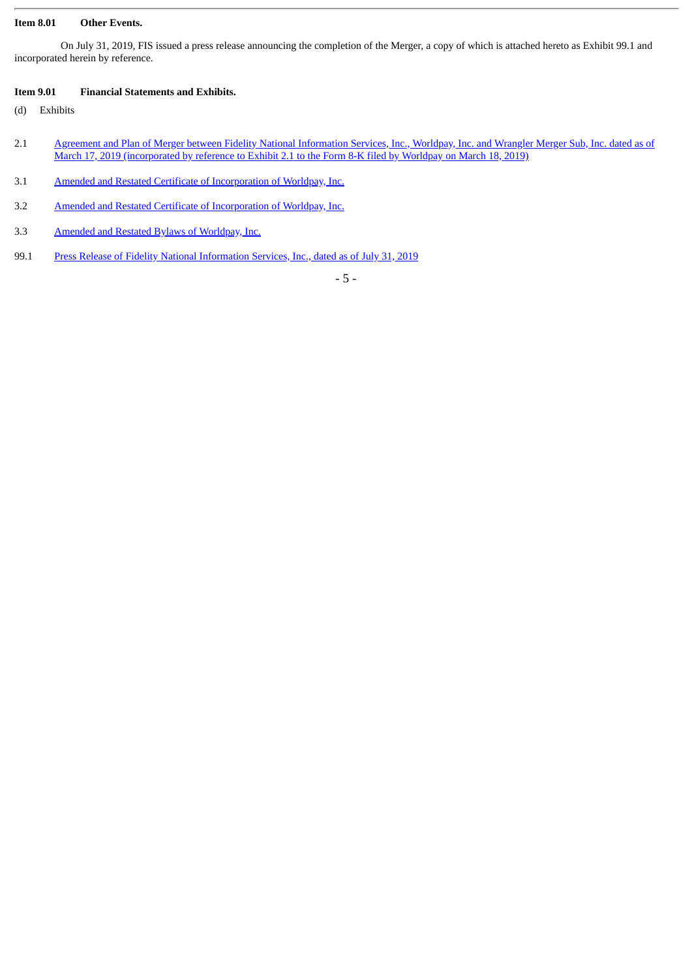#### **Item 8.01 Other Events.**

On July 31, 2019, FIS issued a press release announcing the completion of the Merger, a copy of which is attached hereto as Exhibit 99.1 and incorporated herein by reference.

#### **Item 9.01 Financial Statements and Exhibits.**

(d) Exhibits

- 2.1 Agreement and Plan of Merger between Fidelity National Information Services, Inc., Worldpay, Inc. and Wrangler Merger Sub, Inc. dated as of March 17, 2019 [\(incorporated](http://www.sec.gov/Archives/edgar/data/1533932/000119312519078417/d722540dex21.htm) by reference to Exhibit 2.1 to the Form 8-K filed by Worldpay on March 18, 2019)
- 3.1 Amended and Restated Certificate of [Incorporation](#page-6-0) of Worldpay, Inc.
- 3.2 Amended and Restated Certificate of [Incorporation](#page-8-0) of Worldpay, Inc.
- 3.3 Amended and Restated Bylaws of [Worldpay,](#page-13-0) Inc.
- 99.1 Press Release of Fidelity National [Information](#page-23-0) Services, Inc., dated as of July 31, 2019

- 5 -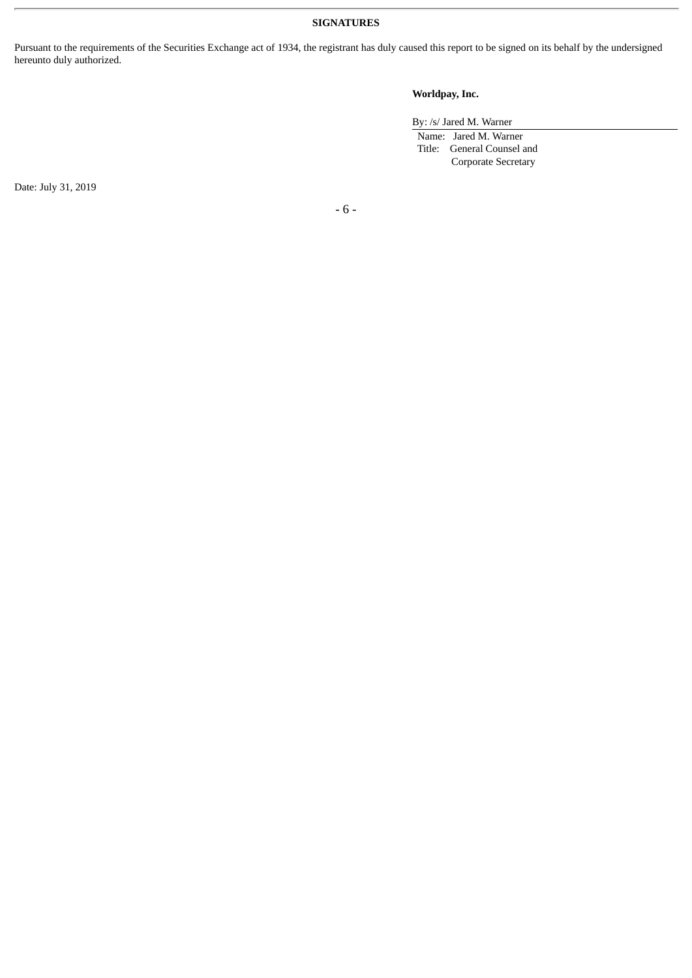#### **SIGNATURES**

Pursuant to the requirements of the Securities Exchange act of 1934, the registrant has duly caused this report to be signed on its behalf by the undersigned hereunto duly authorized.

#### **Worldpay, Inc.**

By: /s/ Jared M. Warner

Name: Jared M. Warner Title: General Counsel and Corporate Secretary

Date: July 31, 2019

- 6 -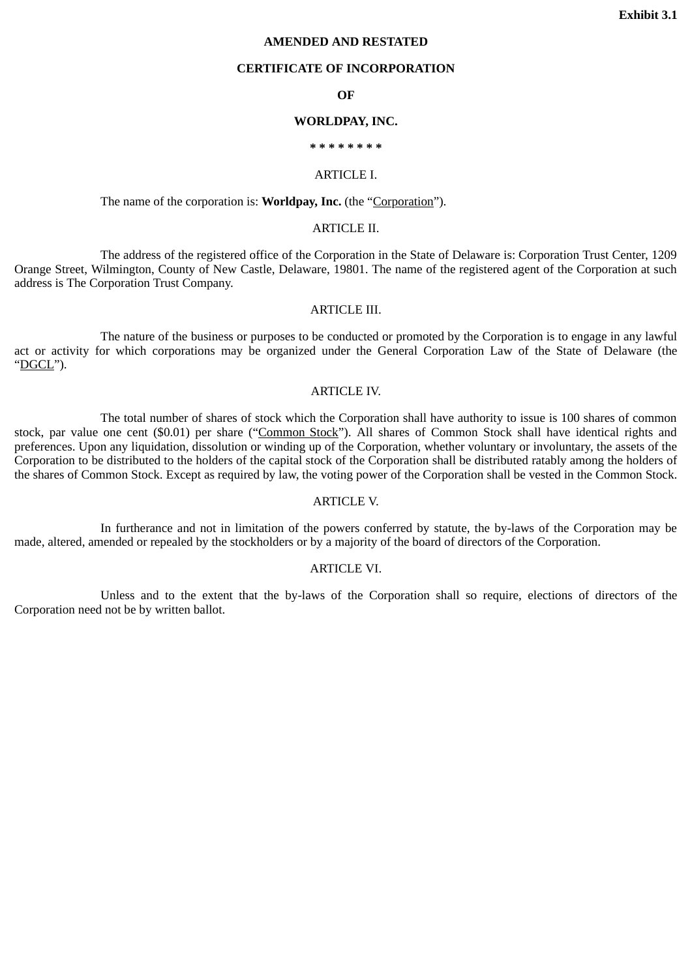#### **AMENDED AND RESTATED**

#### **CERTIFICATE OF INCORPORATION**

# **OF**

# **WORLDPAY, INC.**

#### **\* \* \* \* \* \* \* \***

#### ARTICLE I.

# <span id="page-6-0"></span>The name of the corporation is: **Worldpay, Inc.** (the "Corporation").

#### ARTICLE II.

The address of the registered office of the Corporation in the State of Delaware is: Corporation Trust Center, 1209 Orange Street, Wilmington, County of New Castle, Delaware, 19801. The name of the registered agent of the Corporation at such address is The Corporation Trust Company.

#### ARTICLE III.

The nature of the business or purposes to be conducted or promoted by the Corporation is to engage in any lawful act or activity for which corporations may be organized under the General Corporation Law of the State of Delaware (the "DGCL").

#### ARTICLE IV.

The total number of shares of stock which the Corporation shall have authority to issue is 100 shares of common stock, par value one cent (\$0.01) per share ("Common Stock"). All shares of Common Stock shall have identical rights and preferences. Upon any liquidation, dissolution or winding up of the Corporation, whether voluntary or involuntary, the assets of the Corporation to be distributed to the holders of the capital stock of the Corporation shall be distributed ratably among the holders of the shares of Common Stock. Except as required by law, the voting power of the Corporation shall be vested in the Common Stock.

# ARTICLE V.

In furtherance and not in limitation of the powers conferred by statute, the by-laws of the Corporation may be made, altered, amended or repealed by the stockholders or by a majority of the board of directors of the Corporation.

# ARTICLE VI.

Unless and to the extent that the by-laws of the Corporation shall so require, elections of directors of the Corporation need not be by written ballot.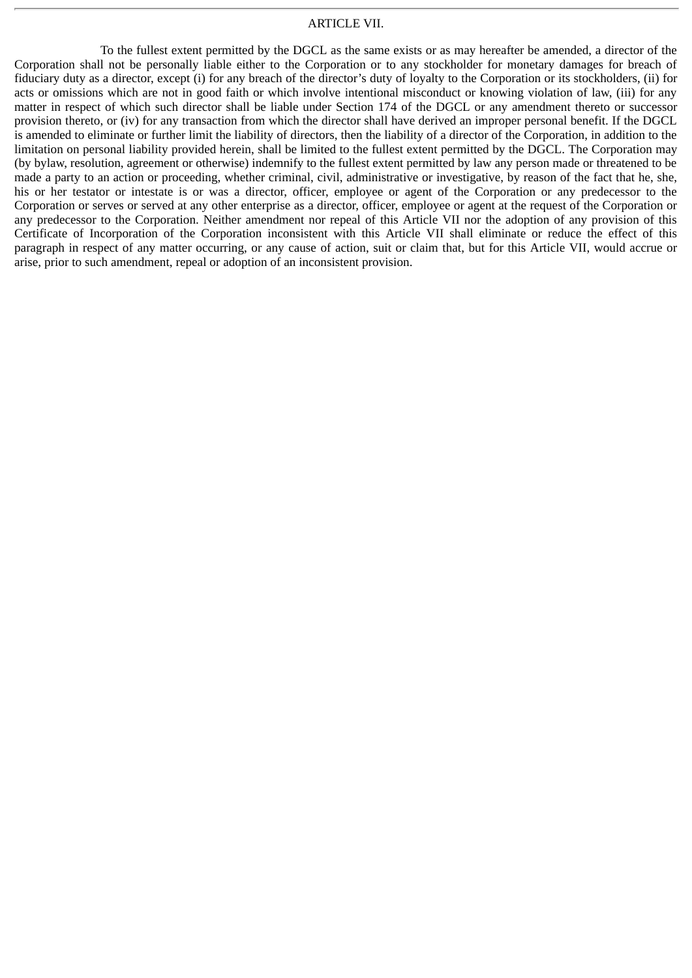#### ARTICLE VII.

To the fullest extent permitted by the DGCL as the same exists or as may hereafter be amended, a director of the Corporation shall not be personally liable either to the Corporation or to any stockholder for monetary damages for breach of fiduciary duty as a director, except (i) for any breach of the director's duty of loyalty to the Corporation or its stockholders, (ii) for acts or omissions which are not in good faith or which involve intentional misconduct or knowing violation of law, (iii) for any matter in respect of which such director shall be liable under Section 174 of the DGCL or any amendment thereto or successor provision thereto, or (iv) for any transaction from which the director shall have derived an improper personal benefit. If the DGCL is amended to eliminate or further limit the liability of directors, then the liability of a director of the Corporation, in addition to the limitation on personal liability provided herein, shall be limited to the fullest extent permitted by the DGCL. The Corporation may (by bylaw, resolution, agreement or otherwise) indemnify to the fullest extent permitted by law any person made or threatened to be made a party to an action or proceeding, whether criminal, civil, administrative or investigative, by reason of the fact that he, she, his or her testator or intestate is or was a director, officer, employee or agent of the Corporation or any predecessor to the Corporation or serves or served at any other enterprise as a director, officer, employee or agent at the request of the Corporation or any predecessor to the Corporation. Neither amendment nor repeal of this Article VII nor the adoption of any provision of this Certificate of Incorporation of the Corporation inconsistent with this Article VII shall eliminate or reduce the effect of this paragraph in respect of any matter occurring, or any cause of action, suit or claim that, but for this Article VII, would accrue or arise, prior to such amendment, repeal or adoption of an inconsistent provision.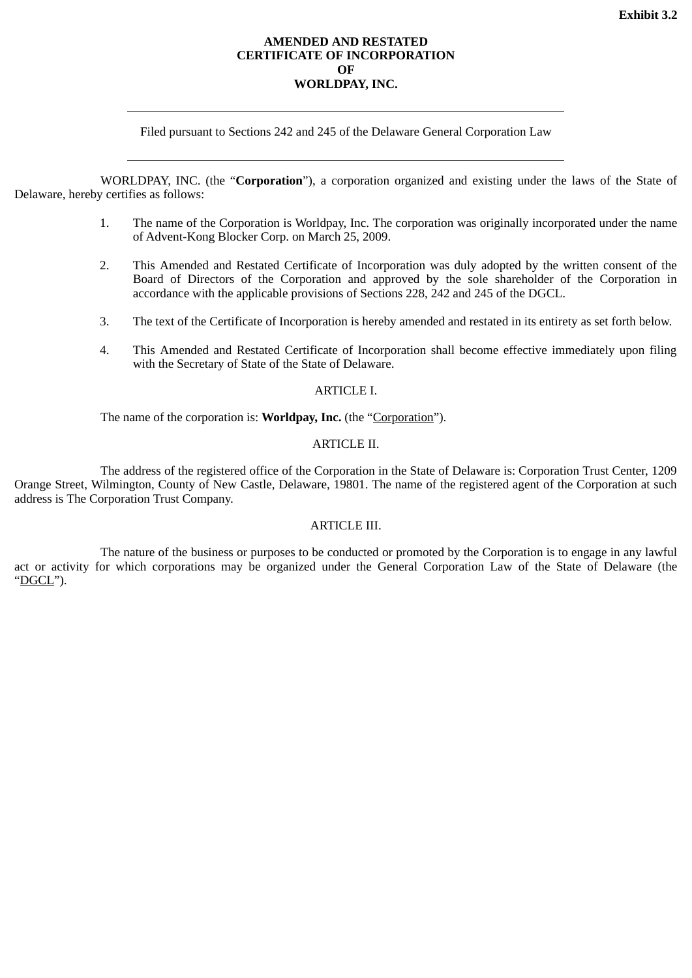# **AMENDED AND RESTATED CERTIFICATE OF INCORPORATION OF WORLDPAY, INC.**

Filed pursuant to Sections 242 and 245 of the Delaware General Corporation Law

<span id="page-8-0"></span>WORLDPAY, INC. (the "**Corporation**"), a corporation organized and existing under the laws of the State of Delaware, hereby certifies as follows:

- 1. The name of the Corporation is Worldpay, Inc. The corporation was originally incorporated under the name of Advent-Kong Blocker Corp. on March 25, 2009.
- 2. This Amended and Restated Certificate of Incorporation was duly adopted by the written consent of the Board of Directors of the Corporation and approved by the sole shareholder of the Corporation in accordance with the applicable provisions of Sections 228, 242 and 245 of the DGCL.
- 3. The text of the Certificate of Incorporation is hereby amended and restated in its entirety as set forth below.
- 4. This Amended and Restated Certificate of Incorporation shall become effective immediately upon filing with the Secretary of State of the State of Delaware.

# ARTICLE I.

The name of the corporation is: **Worldpay, Inc.** (the "Corporation").

# ARTICLE II.

The address of the registered office of the Corporation in the State of Delaware is: Corporation Trust Center, 1209 Orange Street, Wilmington, County of New Castle, Delaware, 19801. The name of the registered agent of the Corporation at such address is The Corporation Trust Company.

# ARTICLE III.

The nature of the business or purposes to be conducted or promoted by the Corporation is to engage in any lawful act or activity for which corporations may be organized under the General Corporation Law of the State of Delaware (the "DGCL").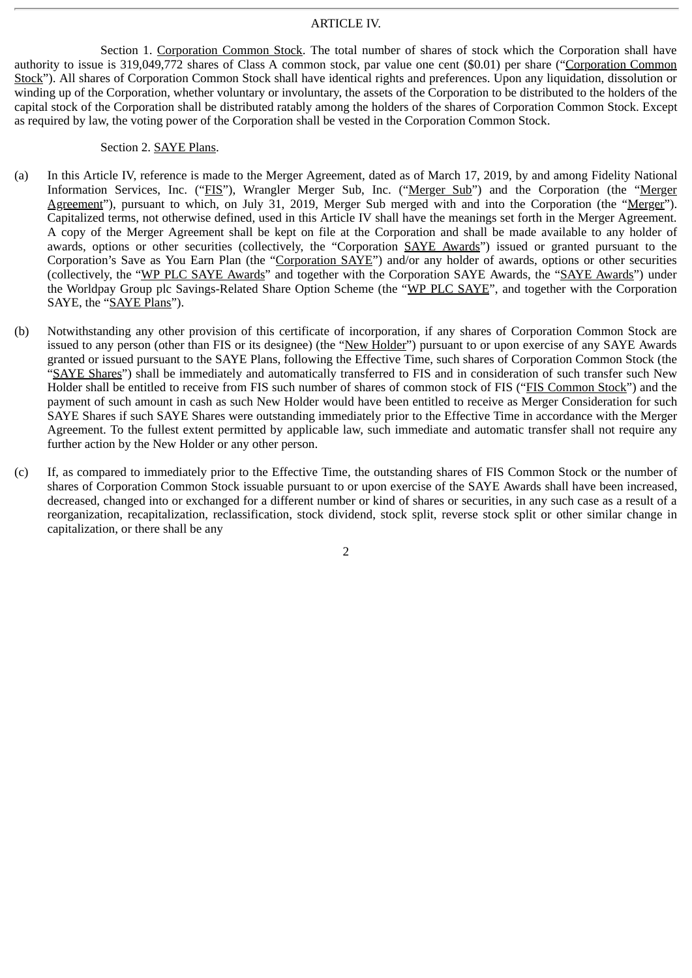# ARTICLE IV.

Section 1. Corporation Common Stock. The total number of shares of stock which the Corporation shall have authority to issue is 319,049,772 shares of Class A common stock, par value one cent (\$0.01) per share ("Corporation Common Stock"). All shares of Corporation Common Stock shall have identical rights and preferences. Upon any liquidation, dissolution or winding up of the Corporation, whether voluntary or involuntary, the assets of the Corporation to be distributed to the holders of the capital stock of the Corporation shall be distributed ratably among the holders of the shares of Corporation Common Stock. Except as required by law, the voting power of the Corporation shall be vested in the Corporation Common Stock.

# Section 2. SAYE Plans.

- (a) In this Article IV, reference is made to the Merger Agreement, dated as of March 17, 2019, by and among Fidelity National Information Services, Inc. ("FIS"), Wrangler Merger Sub, Inc. ("Merger Sub") and the Corporation (the "Merger Agreement"), pursuant to which, on July 31, 2019, Merger Sub merged with and into the Corporation (the "Merger"). Capitalized terms, not otherwise defined, used in this Article IV shall have the meanings set forth in the Merger Agreement. A copy of the Merger Agreement shall be kept on file at the Corporation and shall be made available to any holder of awards, options or other securities (collectively, the "Corporation SAYE Awards") issued or granted pursuant to the Corporation's Save as You Earn Plan (the "Corporation SAYE") and/or any holder of awards, options or other securities (collectively, the "WP PLC SAYE Awards" and together with the Corporation SAYE Awards, the "SAYE Awards") under the Worldpay Group plc Savings-Related Share Option Scheme (the "WP PLC SAYE", and together with the Corporation SAYE, the "SAYE Plans").
- (b) Notwithstanding any other provision of this certificate of incorporation, if any shares of Corporation Common Stock are issued to any person (other than FIS or its designee) (the "New Holder") pursuant to or upon exercise of any SAYE Awards granted or issued pursuant to the SAYE Plans, following the Effective Time, such shares of Corporation Common Stock (the "SAYE Shares") shall be immediately and automatically transferred to FIS and in consideration of such transfer such New Holder shall be entitled to receive from FIS such number of shares of common stock of FIS ("FIS Common Stock") and the payment of such amount in cash as such New Holder would have been entitled to receive as Merger Consideration for such SAYE Shares if such SAYE Shares were outstanding immediately prior to the Effective Time in accordance with the Merger Agreement. To the fullest extent permitted by applicable law, such immediate and automatic transfer shall not require any further action by the New Holder or any other person.
- (c) If, as compared to immediately prior to the Effective Time, the outstanding shares of FIS Common Stock or the number of shares of Corporation Common Stock issuable pursuant to or upon exercise of the SAYE Awards shall have been increased, decreased, changed into or exchanged for a different number or kind of shares or securities, in any such case as a result of a reorganization, recapitalization, reclassification, stock dividend, stock split, reverse stock split or other similar change in capitalization, or there shall be any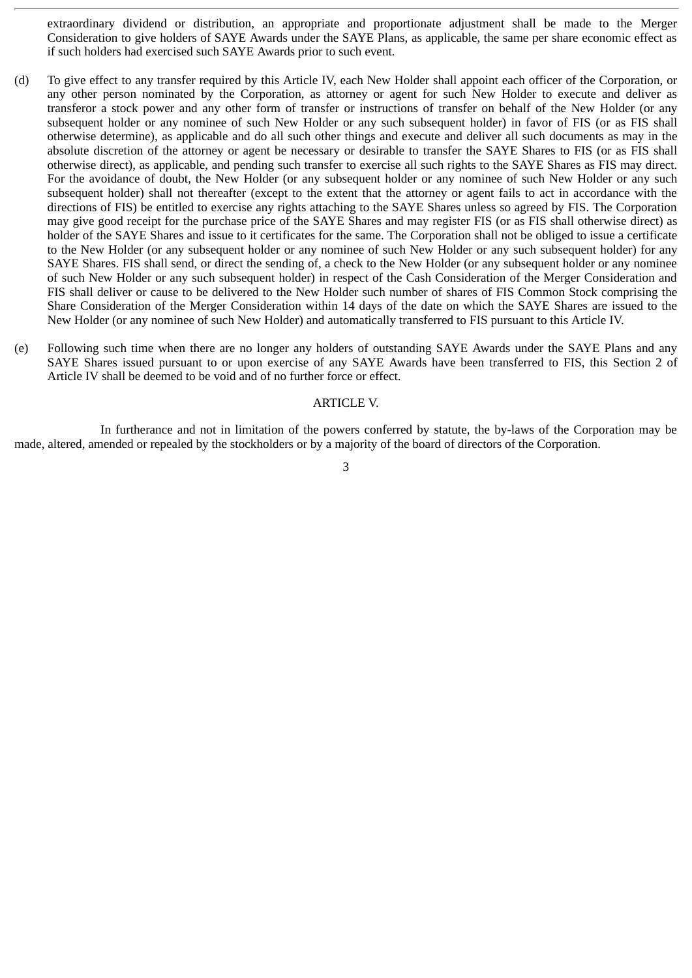extraordinary dividend or distribution, an appropriate and proportionate adjustment shall be made to the Merger Consideration to give holders of SAYE Awards under the SAYE Plans, as applicable, the same per share economic effect as if such holders had exercised such SAYE Awards prior to such event.

- (d) To give effect to any transfer required by this Article IV, each New Holder shall appoint each officer of the Corporation, or any other person nominated by the Corporation, as attorney or agent for such New Holder to execute and deliver as transferor a stock power and any other form of transfer or instructions of transfer on behalf of the New Holder (or any subsequent holder or any nominee of such New Holder or any such subsequent holder) in favor of FIS (or as FIS shall otherwise determine), as applicable and do all such other things and execute and deliver all such documents as may in the absolute discretion of the attorney or agent be necessary or desirable to transfer the SAYE Shares to FIS (or as FIS shall otherwise direct), as applicable, and pending such transfer to exercise all such rights to the SAYE Shares as FIS may direct. For the avoidance of doubt, the New Holder (or any subsequent holder or any nominee of such New Holder or any such subsequent holder) shall not thereafter (except to the extent that the attorney or agent fails to act in accordance with the directions of FIS) be entitled to exercise any rights attaching to the SAYE Shares unless so agreed by FIS. The Corporation may give good receipt for the purchase price of the SAYE Shares and may register FIS (or as FIS shall otherwise direct) as holder of the SAYE Shares and issue to it certificates for the same. The Corporation shall not be obliged to issue a certificate to the New Holder (or any subsequent holder or any nominee of such New Holder or any such subsequent holder) for any SAYE Shares. FIS shall send, or direct the sending of, a check to the New Holder (or any subsequent holder or any nominee of such New Holder or any such subsequent holder) in respect of the Cash Consideration of the Merger Consideration and FIS shall deliver or cause to be delivered to the New Holder such number of shares of FIS Common Stock comprising the Share Consideration of the Merger Consideration within 14 days of the date on which the SAYE Shares are issued to the New Holder (or any nominee of such New Holder) and automatically transferred to FIS pursuant to this Article IV.
- (e) Following such time when there are no longer any holders of outstanding SAYE Awards under the SAYE Plans and any SAYE Shares issued pursuant to or upon exercise of any SAYE Awards have been transferred to FIS, this Section 2 of Article IV shall be deemed to be void and of no further force or effect.

#### ARTICLE V.

In furtherance and not in limitation of the powers conferred by statute, the by-laws of the Corporation may be made, altered, amended or repealed by the stockholders or by a majority of the board of directors of the Corporation.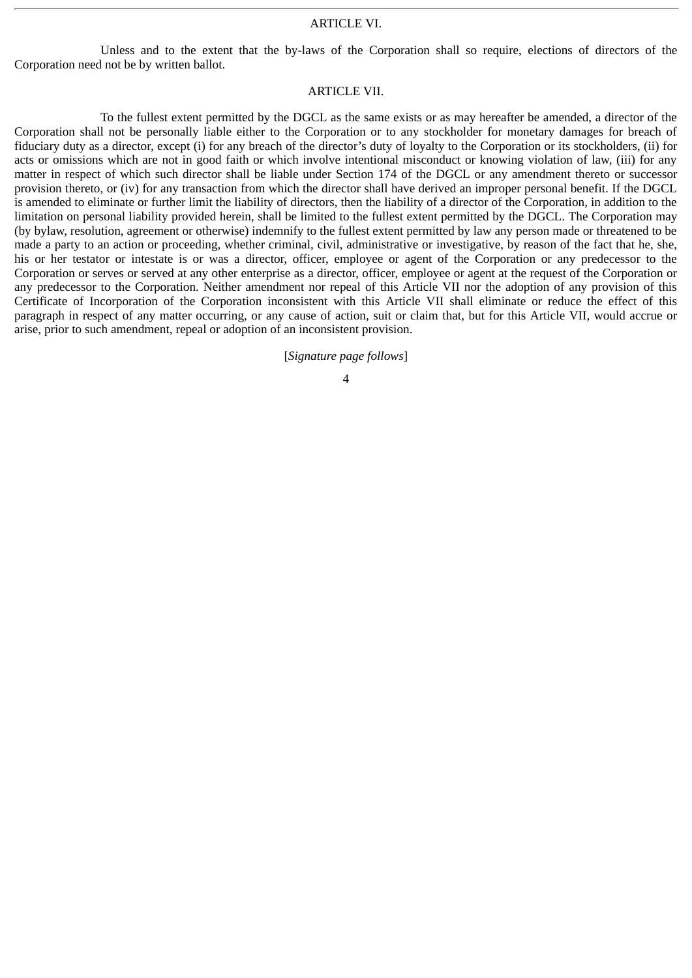#### ARTICLE VI.

Unless and to the extent that the by-laws of the Corporation shall so require, elections of directors of the Corporation need not be by written ballot.

#### ARTICLE VII.

To the fullest extent permitted by the DGCL as the same exists or as may hereafter be amended, a director of the Corporation shall not be personally liable either to the Corporation or to any stockholder for monetary damages for breach of fiduciary duty as a director, except (i) for any breach of the director's duty of loyalty to the Corporation or its stockholders, (ii) for acts or omissions which are not in good faith or which involve intentional misconduct or knowing violation of law, (iii) for any matter in respect of which such director shall be liable under Section 174 of the DGCL or any amendment thereto or successor provision thereto, or (iv) for any transaction from which the director shall have derived an improper personal benefit. If the DGCL is amended to eliminate or further limit the liability of directors, then the liability of a director of the Corporation, in addition to the limitation on personal liability provided herein, shall be limited to the fullest extent permitted by the DGCL. The Corporation may (by bylaw, resolution, agreement or otherwise) indemnify to the fullest extent permitted by law any person made or threatened to be made a party to an action or proceeding, whether criminal, civil, administrative or investigative, by reason of the fact that he, she, his or her testator or intestate is or was a director, officer, employee or agent of the Corporation or any predecessor to the Corporation or serves or served at any other enterprise as a director, officer, employee or agent at the request of the Corporation or any predecessor to the Corporation. Neither amendment nor repeal of this Article VII nor the adoption of any provision of this Certificate of Incorporation of the Corporation inconsistent with this Article VII shall eliminate or reduce the effect of this paragraph in respect of any matter occurring, or any cause of action, suit or claim that, but for this Article VII, would accrue or arise, prior to such amendment, repeal or adoption of an inconsistent provision.

[*Signature page follows*]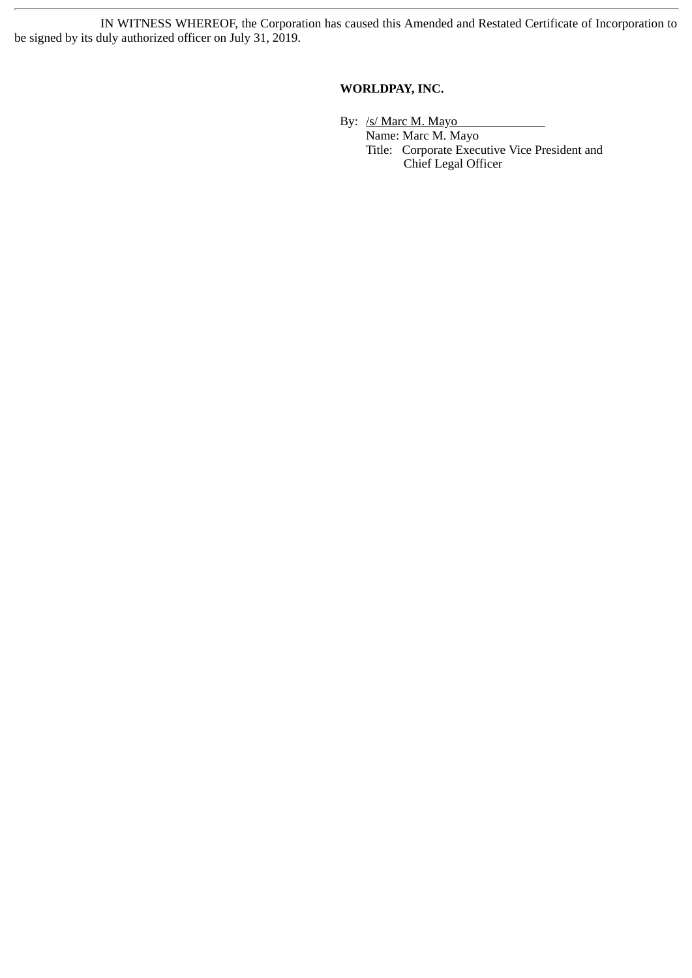IN WITNESS WHEREOF, the Corporation has caused this Amended and Restated Certificate of Incorporation to be signed by its duly authorized officer on July 31, 2019.

# **WORLDPAY, INC.**

By: /s/ Marc M. Mayo

Name: Marc M. Mayo Title: Corporate Executive Vice President and Chief Legal Officer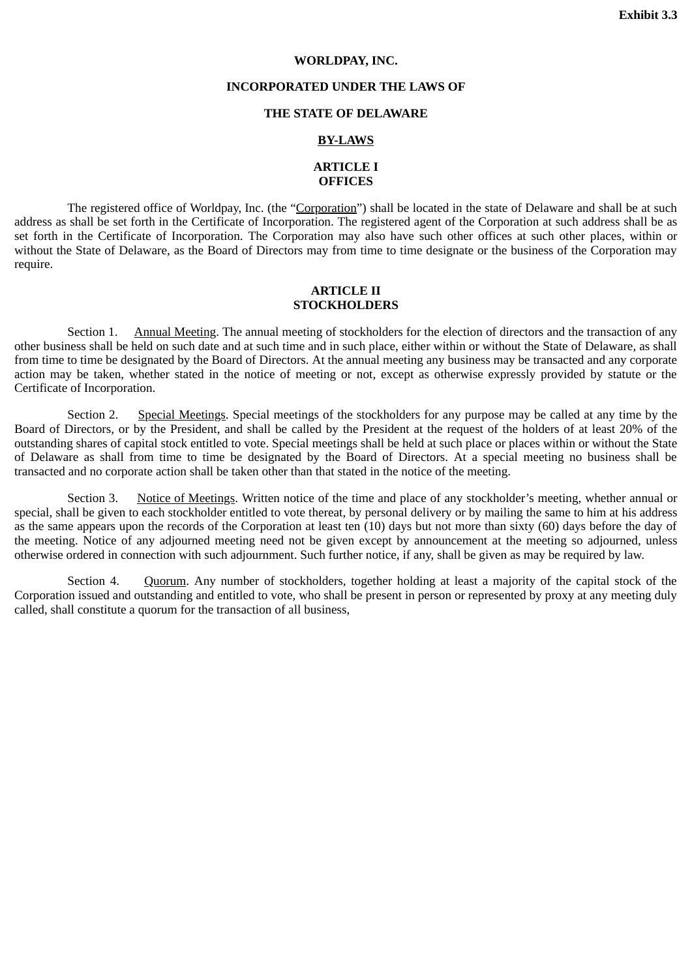# **WORLDPAY, INC.**

# **INCORPORATED UNDER THE LAWS OF**

# **THE STATE OF DELAWARE**

# **BY-LAWS**

# **ARTICLE I OFFICES**

<span id="page-13-0"></span>The registered office of Worldpay, Inc. (the "Corporation") shall be located in the state of Delaware and shall be at such address as shall be set forth in the Certificate of Incorporation. The registered agent of the Corporation at such address shall be as set forth in the Certificate of Incorporation. The Corporation may also have such other offices at such other places, within or without the State of Delaware, as the Board of Directors may from time to time designate or the business of the Corporation may require.

# **ARTICLE II STOCKHOLDERS**

Section 1. Annual Meeting. The annual meeting of stockholders for the election of directors and the transaction of any other business shall be held on such date and at such time and in such place, either within or without the State of Delaware, as shall from time to time be designated by the Board of Directors. At the annual meeting any business may be transacted and any corporate action may be taken, whether stated in the notice of meeting or not, except as otherwise expressly provided by statute or the Certificate of Incorporation.

Section 2. Special Meetings. Special meetings of the stockholders for any purpose may be called at any time by the Board of Directors, or by the President, and shall be called by the President at the request of the holders of at least 20% of the outstanding shares of capital stock entitled to vote. Special meetings shall be held at such place or places within or without the State of Delaware as shall from time to time be designated by the Board of Directors. At a special meeting no business shall be transacted and no corporate action shall be taken other than that stated in the notice of the meeting.

Section 3. Notice of Meetings. Written notice of the time and place of any stockholder's meeting, whether annual or special, shall be given to each stockholder entitled to vote thereat, by personal delivery or by mailing the same to him at his address as the same appears upon the records of the Corporation at least ten (10) days but not more than sixty (60) days before the day of the meeting. Notice of any adjourned meeting need not be given except by announcement at the meeting so adjourned, unless otherwise ordered in connection with such adjournment. Such further notice, if any, shall be given as may be required by law.

Section 4. Cuorum. Any number of stockholders, together holding at least a majority of the capital stock of the Corporation issued and outstanding and entitled to vote, who shall be present in person or represented by proxy at any meeting duly called, shall constitute a quorum for the transaction of all business,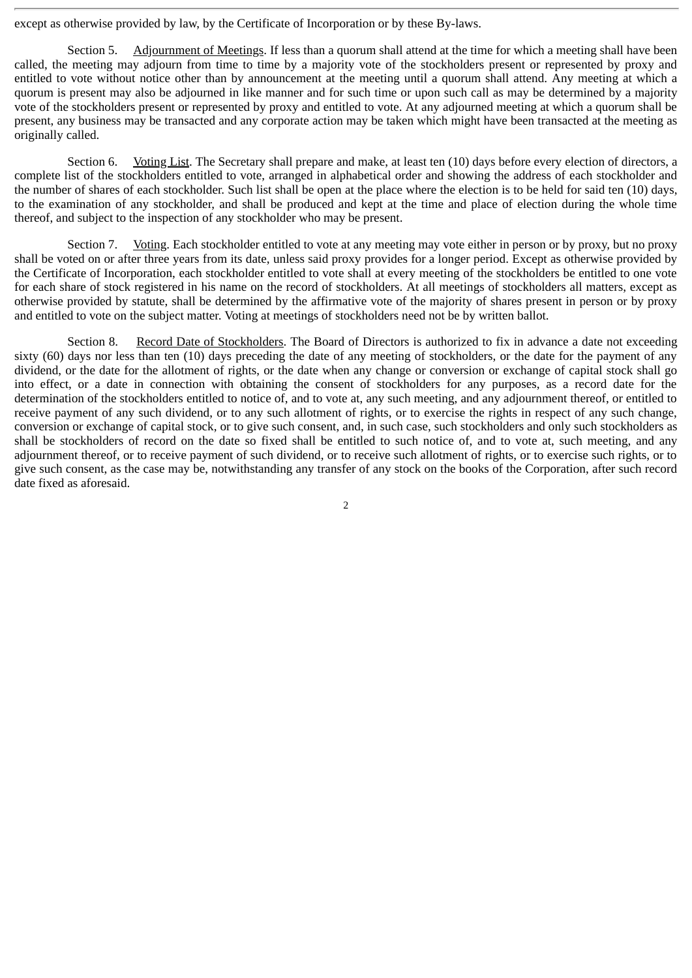except as otherwise provided by law, by the Certificate of Incorporation or by these By-laws.

Section 5. Adjournment of Meetings. If less than a quorum shall attend at the time for which a meeting shall have been called, the meeting may adjourn from time to time by a majority vote of the stockholders present or represented by proxy and entitled to vote without notice other than by announcement at the meeting until a quorum shall attend. Any meeting at which a quorum is present may also be adjourned in like manner and for such time or upon such call as may be determined by a majority vote of the stockholders present or represented by proxy and entitled to vote. At any adjourned meeting at which a quorum shall be present, any business may be transacted and any corporate action may be taken which might have been transacted at the meeting as originally called.

Section 6. Voting List. The Secretary shall prepare and make, at least ten (10) days before every election of directors, a complete list of the stockholders entitled to vote, arranged in alphabetical order and showing the address of each stockholder and the number of shares of each stockholder. Such list shall be open at the place where the election is to be held for said ten (10) days, to the examination of any stockholder, and shall be produced and kept at the time and place of election during the whole time thereof, and subject to the inspection of any stockholder who may be present.

Section 7. Voting. Each stockholder entitled to vote at any meeting may vote either in person or by proxy, but no proxy shall be voted on or after three years from its date, unless said proxy provides for a longer period. Except as otherwise provided by the Certificate of Incorporation, each stockholder entitled to vote shall at every meeting of the stockholders be entitled to one vote for each share of stock registered in his name on the record of stockholders. At all meetings of stockholders all matters, except as otherwise provided by statute, shall be determined by the affirmative vote of the majority of shares present in person or by proxy and entitled to vote on the subject matter. Voting at meetings of stockholders need not be by written ballot.

Section 8. Record Date of Stockholders. The Board of Directors is authorized to fix in advance a date not exceeding sixty (60) days nor less than ten (10) days preceding the date of any meeting of stockholders, or the date for the payment of any dividend, or the date for the allotment of rights, or the date when any change or conversion or exchange of capital stock shall go into effect, or a date in connection with obtaining the consent of stockholders for any purposes, as a record date for the determination of the stockholders entitled to notice of, and to vote at, any such meeting, and any adjournment thereof, or entitled to receive payment of any such dividend, or to any such allotment of rights, or to exercise the rights in respect of any such change, conversion or exchange of capital stock, or to give such consent, and, in such case, such stockholders and only such stockholders as shall be stockholders of record on the date so fixed shall be entitled to such notice of, and to vote at, such meeting, and any adjournment thereof, or to receive payment of such dividend, or to receive such allotment of rights, or to exercise such rights, or to give such consent, as the case may be, notwithstanding any transfer of any stock on the books of the Corporation, after such record date fixed as aforesaid.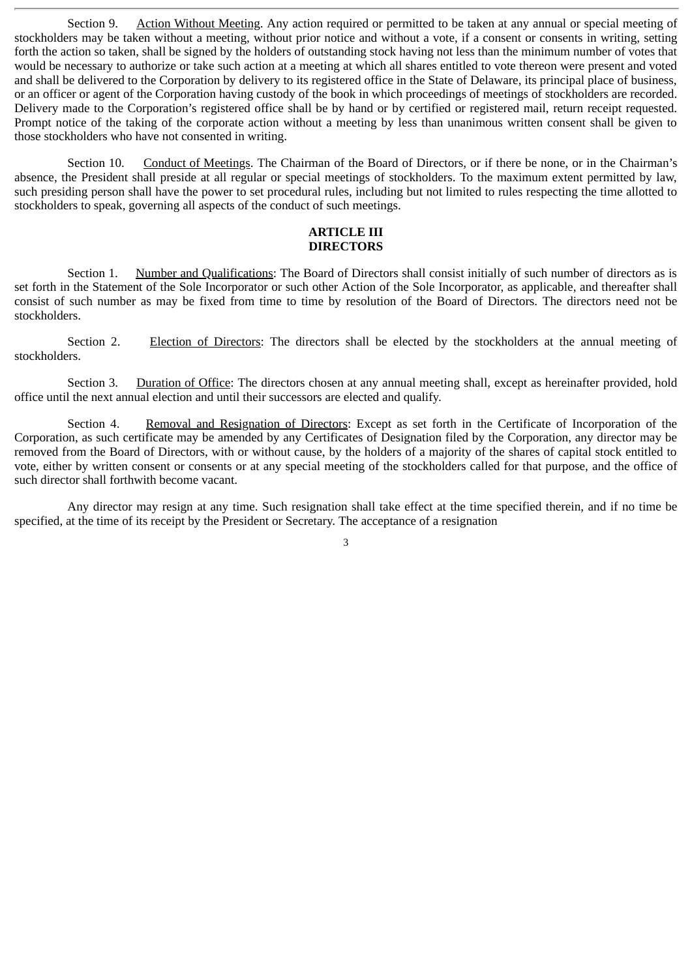Section 9. Action Without Meeting. Any action required or permitted to be taken at any annual or special meeting of stockholders may be taken without a meeting, without prior notice and without a vote, if a consent or consents in writing, setting forth the action so taken, shall be signed by the holders of outstanding stock having not less than the minimum number of votes that would be necessary to authorize or take such action at a meeting at which all shares entitled to vote thereon were present and voted and shall be delivered to the Corporation by delivery to its registered office in the State of Delaware, its principal place of business, or an officer or agent of the Corporation having custody of the book in which proceedings of meetings of stockholders are recorded. Delivery made to the Corporation's registered office shall be by hand or by certified or registered mail, return receipt requested. Prompt notice of the taking of the corporate action without a meeting by less than unanimous written consent shall be given to those stockholders who have not consented in writing.

Section 10. Conduct of Meetings. The Chairman of the Board of Directors, or if there be none, or in the Chairman's absence, the President shall preside at all regular or special meetings of stockholders. To the maximum extent permitted by law, such presiding person shall have the power to set procedural rules, including but not limited to rules respecting the time allotted to stockholders to speak, governing all aspects of the conduct of such meetings.

# **ARTICLE III DIRECTORS**

Section 1. Number and Qualifications: The Board of Directors shall consist initially of such number of directors as is set forth in the Statement of the Sole Incorporator or such other Action of the Sole Incorporator, as applicable, and thereafter shall consist of such number as may be fixed from time to time by resolution of the Board of Directors. The directors need not be stockholders.

Section 2. Election of Directors: The directors shall be elected by the stockholders at the annual meeting of stockholders.

Section 3. Duration of Office: The directors chosen at any annual meeting shall, except as hereinafter provided, hold office until the next annual election and until their successors are elected and qualify.

Section 4. Removal and Resignation of Directors: Except as set forth in the Certificate of Incorporation of the Corporation, as such certificate may be amended by any Certificates of Designation filed by the Corporation, any director may be removed from the Board of Directors, with or without cause, by the holders of a majority of the shares of capital stock entitled to vote, either by written consent or consents or at any special meeting of the stockholders called for that purpose, and the office of such director shall forthwith become vacant.

Any director may resign at any time. Such resignation shall take effect at the time specified therein, and if no time be specified, at the time of its receipt by the President or Secretary. The acceptance of a resignation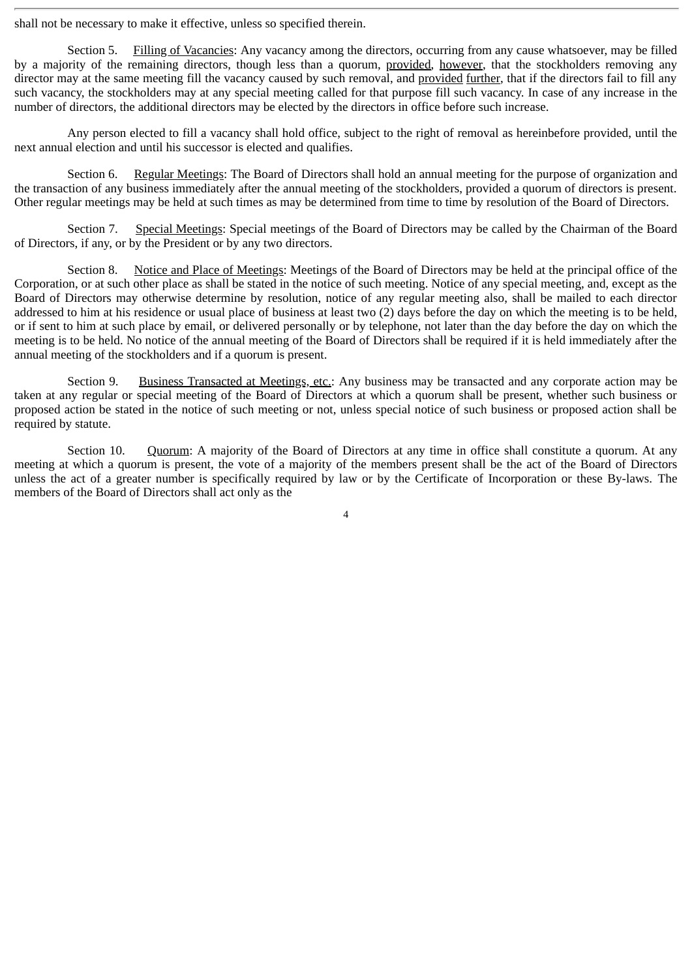shall not be necessary to make it effective, unless so specified therein.

Section 5. Filling of Vacancies: Any vacancy among the directors, occurring from any cause whatsoever, may be filled by a majority of the remaining directors, though less than a quorum, provided, however, that the stockholders removing any director may at the same meeting fill the vacancy caused by such removal, and provided further, that if the directors fail to fill any such vacancy, the stockholders may at any special meeting called for that purpose fill such vacancy. In case of any increase in the number of directors, the additional directors may be elected by the directors in office before such increase.

Any person elected to fill a vacancy shall hold office, subject to the right of removal as hereinbefore provided, until the next annual election and until his successor is elected and qualifies.

Section 6. Regular Meetings: The Board of Directors shall hold an annual meeting for the purpose of organization and the transaction of any business immediately after the annual meeting of the stockholders, provided a quorum of directors is present. Other regular meetings may be held at such times as may be determined from time to time by resolution of the Board of Directors.

Section 7. Special Meetings: Special meetings of the Board of Directors may be called by the Chairman of the Board of Directors, if any, or by the President or by any two directors.

Section 8. Notice and Place of Meetings: Meetings of the Board of Directors may be held at the principal office of the Corporation, or at such other place as shall be stated in the notice of such meeting. Notice of any special meeting, and, except as the Board of Directors may otherwise determine by resolution, notice of any regular meeting also, shall be mailed to each director addressed to him at his residence or usual place of business at least two (2) days before the day on which the meeting is to be held, or if sent to him at such place by email, or delivered personally or by telephone, not later than the day before the day on which the meeting is to be held. No notice of the annual meeting of the Board of Directors shall be required if it is held immediately after the annual meeting of the stockholders and if a quorum is present.

Section 9. Business Transacted at Meetings, etc.: Any business may be transacted and any corporate action may be taken at any regular or special meeting of the Board of Directors at which a quorum shall be present, whether such business or proposed action be stated in the notice of such meeting or not, unless special notice of such business or proposed action shall be required by statute.

Section 10. Cuorum: A majority of the Board of Directors at any time in office shall constitute a quorum. At any meeting at which a quorum is present, the vote of a majority of the members present shall be the act of the Board of Directors unless the act of a greater number is specifically required by law or by the Certificate of Incorporation or these By-laws. The members of the Board of Directors shall act only as the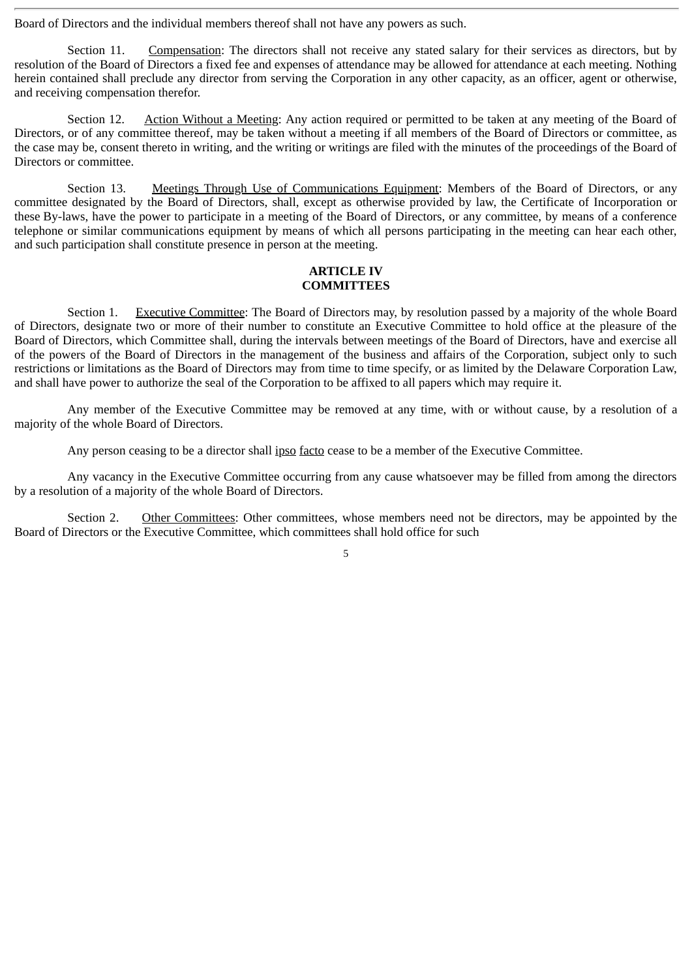Board of Directors and the individual members thereof shall not have any powers as such.

Section 11. Compensation: The directors shall not receive any stated salary for their services as directors, but by resolution of the Board of Directors a fixed fee and expenses of attendance may be allowed for attendance at each meeting. Nothing herein contained shall preclude any director from serving the Corporation in any other capacity, as an officer, agent or otherwise, and receiving compensation therefor.

Section 12. Action Without a Meeting: Any action required or permitted to be taken at any meeting of the Board of Directors, or of any committee thereof, may be taken without a meeting if all members of the Board of Directors or committee, as the case may be, consent thereto in writing, and the writing or writings are filed with the minutes of the proceedings of the Board of Directors or committee.

Section 13. Meetings Through Use of Communications Equipment: Members of the Board of Directors, or any committee designated by the Board of Directors, shall, except as otherwise provided by law, the Certificate of Incorporation or these By-laws, have the power to participate in a meeting of the Board of Directors, or any committee, by means of a conference telephone or similar communications equipment by means of which all persons participating in the meeting can hear each other, and such participation shall constitute presence in person at the meeting.

# **ARTICLE IV COMMITTEES**

Section 1. Executive Committee: The Board of Directors may, by resolution passed by a majority of the whole Board of Directors, designate two or more of their number to constitute an Executive Committee to hold office at the pleasure of the Board of Directors, which Committee shall, during the intervals between meetings of the Board of Directors, have and exercise all of the powers of the Board of Directors in the management of the business and affairs of the Corporation, subject only to such restrictions or limitations as the Board of Directors may from time to time specify, or as limited by the Delaware Corporation Law, and shall have power to authorize the seal of the Corporation to be affixed to all papers which may require it.

Any member of the Executive Committee may be removed at any time, with or without cause, by a resolution of a majority of the whole Board of Directors.

Any person ceasing to be a director shall ipso facto cease to be a member of the Executive Committee.

Any vacancy in the Executive Committee occurring from any cause whatsoever may be filled from among the directors by a resolution of a majority of the whole Board of Directors.

Section 2. Other Committees: Other committees, whose members need not be directors, may be appointed by the Board of Directors or the Executive Committee, which committees shall hold office for such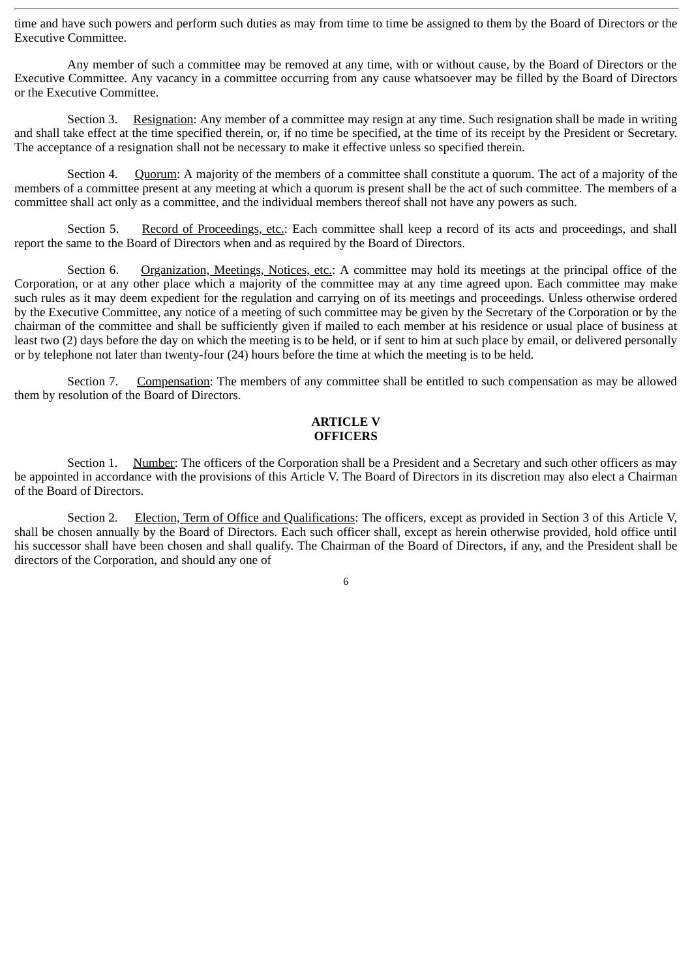time and have such powers and perform such duties as may from time to time be assigned to them by the Board of Directors or the Executive Committee.

Any member of such a committee may be removed at any time, with or without cause, by the Board of Directors or the Executive Committee. Any vacancy in a committee occurring from any cause whatsoever may be filled by the Board of Directors or the Executive Committee.

Section 3. Resignation: Any member of a committee may resign at any time. Such resignation shall be made in writing and shall take effect at the time specified therein, or, if no time be specified, at the time of its receipt by the President or Secretary. The acceptance of a resignation shall not be necessary to make it effective unless so specified therein.

Section 4. Quorum: A majority of the members of a committee shall constitute a quorum. The act of a majority of the members of a committee present at any meeting at which a quorum is present shall be the act of such committee. The members of a committee shall act only as a committee, and the individual members thereof shall not have any powers as such.

Section 5. Record of Proceedings, etc.: Each committee shall keep a record of its acts and proceedings, and shall report the same to the Board of Directors when and as required by the Board of Directors.

Section 6. Organization, Meetings, Notices, etc.: A committee may hold its meetings at the principal office of the Corporation, or at any other place which a majority of the committee may at any time agreed upon. Each committee may make such rules as it may deem expedient for the regulation and carrying on of its meetings and proceedings. Unless otherwise ordered by the Executive Committee, any notice of a meeting of such committee may be given by the Secretary of the Corporation or by the chairman of the committee and shall be sufficiently given if mailed to each member at his residence or usual place of business at least two (2) days before the day on which the meeting is to be held, or if sent to him at such place by email, or delivered personally or by telephone not later than twenty-four (24) hours before the time at which the meeting is to be held.

Section 7. Compensation: The members of any committee shall be entitled to such compensation as may be allowed them by resolution of the Board of Directors.

# **ARTICLE V OFFICERS**

Section 1. Number: The officers of the Corporation shall be a President and a Secretary and such other officers as may be appointed in accordance with the provisions of this Article V. The Board of Directors in its discretion may also elect a Chairman of the Board of Directors.

Section 2. Election, Term of Office and Qualifications: The officers, except as provided in Section 3 of this Article V, shall be chosen annually by the Board of Directors. Each such officer shall, except as herein otherwise provided, hold office until his successor shall have been chosen and shall qualify. The Chairman of the Board of Directors, if any, and the President shall be directors of the Corporation, and should any one of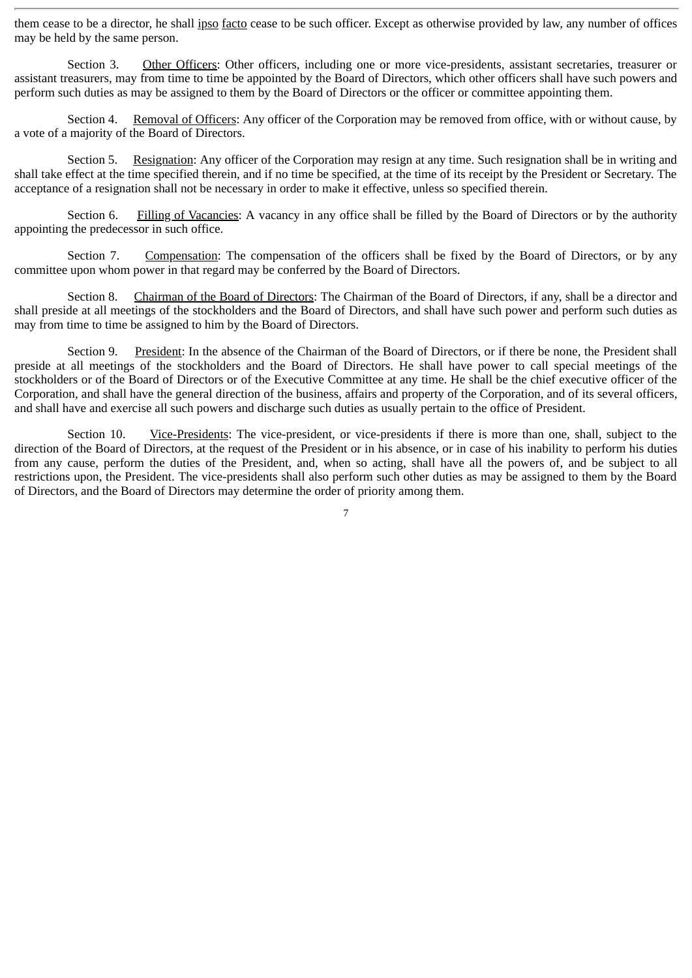them cease to be a director, he shall ipso facto cease to be such officer. Except as otherwise provided by law, any number of offices may be held by the same person.

Section 3. Other Officers: Other officers, including one or more vice-presidents, assistant secretaries, treasurer or assistant treasurers, may from time to time be appointed by the Board of Directors, which other officers shall have such powers and perform such duties as may be assigned to them by the Board of Directors or the officer or committee appointing them.

Section 4. Removal of Officers: Any officer of the Corporation may be removed from office, with or without cause, by a vote of a majority of the Board of Directors.

Section 5. Resignation: Any officer of the Corporation may resign at any time. Such resignation shall be in writing and shall take effect at the time specified therein, and if no time be specified, at the time of its receipt by the President or Secretary. The acceptance of a resignation shall not be necessary in order to make it effective, unless so specified therein.

Section 6. Filling of Vacancies: A vacancy in any office shall be filled by the Board of Directors or by the authority appointing the predecessor in such office.

Section 7. Compensation: The compensation of the officers shall be fixed by the Board of Directors, or by any committee upon whom power in that regard may be conferred by the Board of Directors.

Section 8. Chairman of the Board of Directors: The Chairman of the Board of Directors, if any, shall be a director and shall preside at all meetings of the stockholders and the Board of Directors, and shall have such power and perform such duties as may from time to time be assigned to him by the Board of Directors.

Section 9. President: In the absence of the Chairman of the Board of Directors, or if there be none, the President shall preside at all meetings of the stockholders and the Board of Directors. He shall have power to call special meetings of the stockholders or of the Board of Directors or of the Executive Committee at any time. He shall be the chief executive officer of the Corporation, and shall have the general direction of the business, affairs and property of the Corporation, and of its several officers, and shall have and exercise all such powers and discharge such duties as usually pertain to the office of President.

Section 10. Vice-Presidents: The vice-president, or vice-presidents if there is more than one, shall, subject to the direction of the Board of Directors, at the request of the President or in his absence, or in case of his inability to perform his duties from any cause, perform the duties of the President, and, when so acting, shall have all the powers of, and be subject to all restrictions upon, the President. The vice-presidents shall also perform such other duties as may be assigned to them by the Board of Directors, and the Board of Directors may determine the order of priority among them.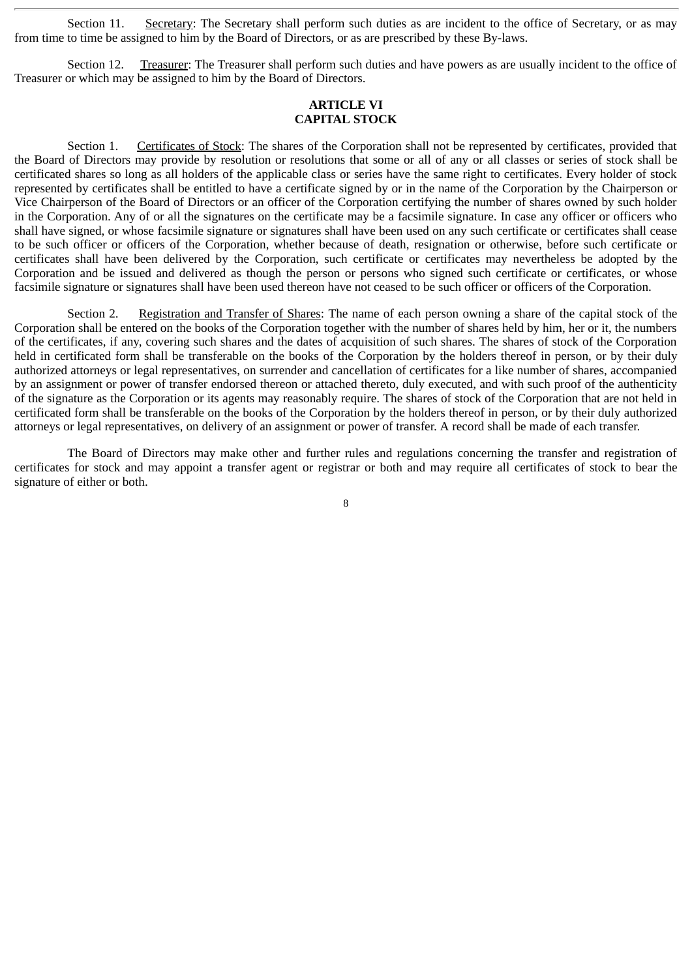Section 11. Secretary: The Secretary shall perform such duties as are incident to the office of Secretary, or as may from time to time be assigned to him by the Board of Directors, or as are prescribed by these By-laws.

Section 12. Treasurer: The Treasurer shall perform such duties and have powers as are usually incident to the office of Treasurer or which may be assigned to him by the Board of Directors.

#### **ARTICLE VI CAPITAL STOCK**

Section 1. Certificates of Stock: The shares of the Corporation shall not be represented by certificates, provided that the Board of Directors may provide by resolution or resolutions that some or all of any or all classes or series of stock shall be certificated shares so long as all holders of the applicable class or series have the same right to certificates. Every holder of stock represented by certificates shall be entitled to have a certificate signed by or in the name of the Corporation by the Chairperson or Vice Chairperson of the Board of Directors or an officer of the Corporation certifying the number of shares owned by such holder in the Corporation. Any of or all the signatures on the certificate may be a facsimile signature. In case any officer or officers who shall have signed, or whose facsimile signature or signatures shall have been used on any such certificate or certificates shall cease to be such officer or officers of the Corporation, whether because of death, resignation or otherwise, before such certificate or certificates shall have been delivered by the Corporation, such certificate or certificates may nevertheless be adopted by the Corporation and be issued and delivered as though the person or persons who signed such certificate or certificates, or whose facsimile signature or signatures shall have been used thereon have not ceased to be such officer or officers of the Corporation.

Section 2. Registration and Transfer of Shares: The name of each person owning a share of the capital stock of the Corporation shall be entered on the books of the Corporation together with the number of shares held by him, her or it, the numbers of the certificates, if any, covering such shares and the dates of acquisition of such shares. The shares of stock of the Corporation held in certificated form shall be transferable on the books of the Corporation by the holders thereof in person, or by their duly authorized attorneys or legal representatives, on surrender and cancellation of certificates for a like number of shares, accompanied by an assignment or power of transfer endorsed thereon or attached thereto, duly executed, and with such proof of the authenticity of the signature as the Corporation or its agents may reasonably require. The shares of stock of the Corporation that are not held in certificated form shall be transferable on the books of the Corporation by the holders thereof in person, or by their duly authorized attorneys or legal representatives, on delivery of an assignment or power of transfer. A record shall be made of each transfer.

The Board of Directors may make other and further rules and regulations concerning the transfer and registration of certificates for stock and may appoint a transfer agent or registrar or both and may require all certificates of stock to bear the signature of either or both.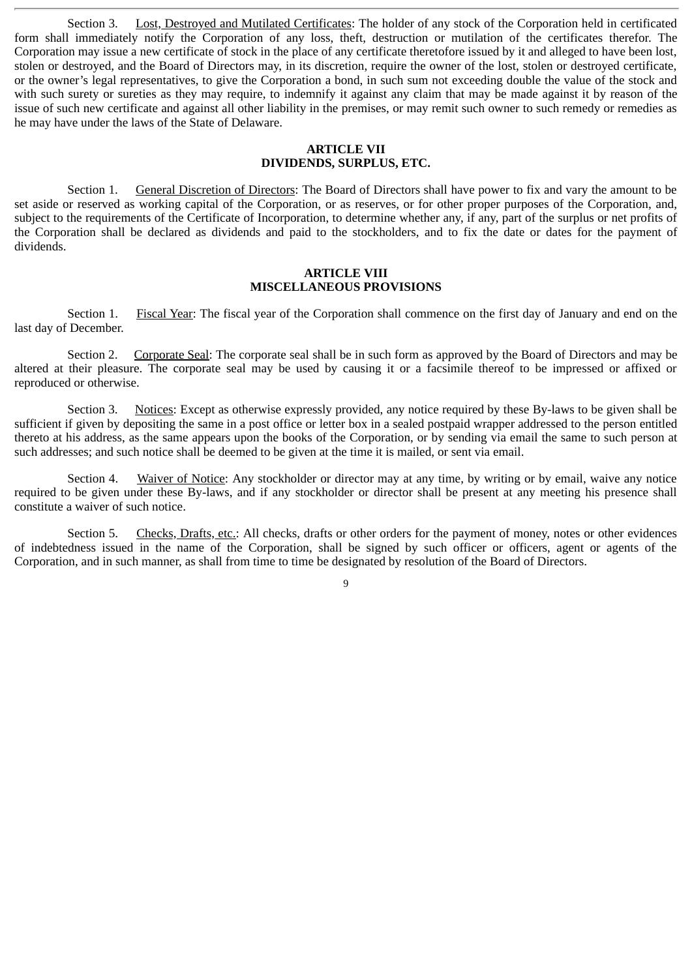Section 3. Lost, Destroyed and Mutilated Certificates: The holder of any stock of the Corporation held in certificated form shall immediately notify the Corporation of any loss, theft, destruction or mutilation of the certificates therefor. The Corporation may issue a new certificate of stock in the place of any certificate theretofore issued by it and alleged to have been lost, stolen or destroyed, and the Board of Directors may, in its discretion, require the owner of the lost, stolen or destroyed certificate, or the owner's legal representatives, to give the Corporation a bond, in such sum not exceeding double the value of the stock and with such surety or sureties as they may require, to indemnify it against any claim that may be made against it by reason of the issue of such new certificate and against all other liability in the premises, or may remit such owner to such remedy or remedies as he may have under the laws of the State of Delaware.

#### **ARTICLE VII DIVIDENDS, SURPLUS, ETC.**

Section 1. General Discretion of Directors: The Board of Directors shall have power to fix and vary the amount to be set aside or reserved as working capital of the Corporation, or as reserves, or for other proper purposes of the Corporation, and, subject to the requirements of the Certificate of Incorporation, to determine whether any, if any, part of the surplus or net profits of the Corporation shall be declared as dividends and paid to the stockholders, and to fix the date or dates for the payment of dividends.

# **ARTICLE VIII MISCELLANEOUS PROVISIONS**

Section 1. Fiscal Year: The fiscal year of the Corporation shall commence on the first day of January and end on the last day of December.

Section 2. Corporate Seal: The corporate seal shall be in such form as approved by the Board of Directors and may be altered at their pleasure. The corporate seal may be used by causing it or a facsimile thereof to be impressed or affixed or reproduced or otherwise.

Section 3. Notices: Except as otherwise expressly provided, any notice required by these By-laws to be given shall be sufficient if given by depositing the same in a post office or letter box in a sealed postpaid wrapper addressed to the person entitled thereto at his address, as the same appears upon the books of the Corporation, or by sending via email the same to such person at such addresses; and such notice shall be deemed to be given at the time it is mailed, or sent via email.

Section 4. Waiver of Notice: Any stockholder or director may at any time, by writing or by email, waive any notice required to be given under these By-laws, and if any stockholder or director shall be present at any meeting his presence shall constitute a waiver of such notice.

Section 5. Checks, Drafts, etc.: All checks, drafts or other orders for the payment of money, notes or other evidences of indebtedness issued in the name of the Corporation, shall be signed by such officer or officers, agent or agents of the Corporation, and in such manner, as shall from time to time be designated by resolution of the Board of Directors.

 $\overline{q}$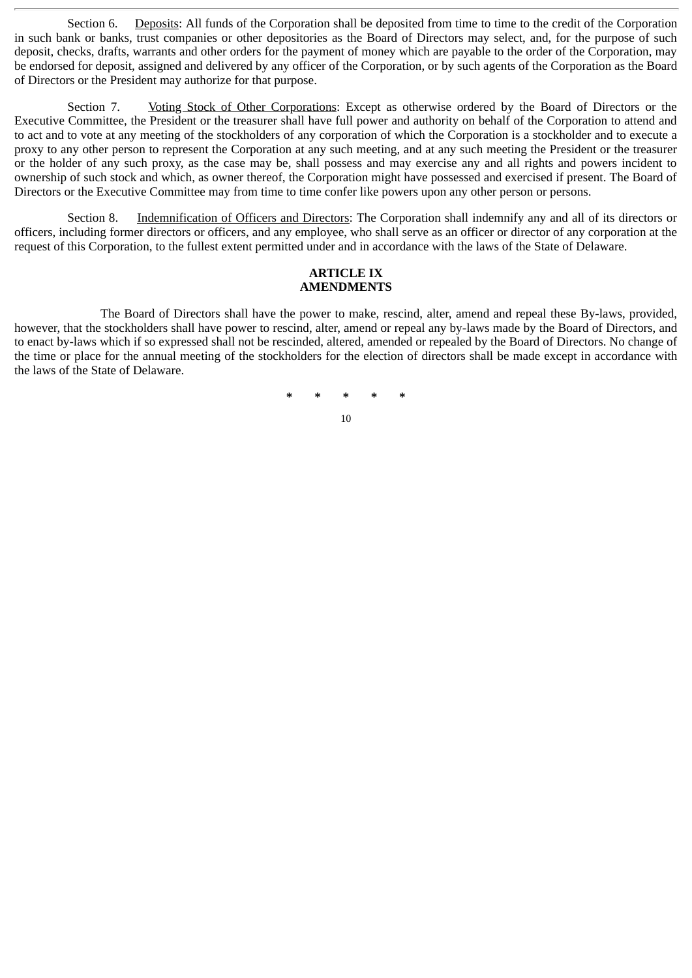Section 6. Deposits: All funds of the Corporation shall be deposited from time to time to the credit of the Corporation in such bank or banks, trust companies or other depositories as the Board of Directors may select, and, for the purpose of such deposit, checks, drafts, warrants and other orders for the payment of money which are payable to the order of the Corporation, may be endorsed for deposit, assigned and delivered by any officer of the Corporation, or by such agents of the Corporation as the Board of Directors or the President may authorize for that purpose.

Section 7. Voting Stock of Other Corporations: Except as otherwise ordered by the Board of Directors or the Executive Committee, the President or the treasurer shall have full power and authority on behalf of the Corporation to attend and to act and to vote at any meeting of the stockholders of any corporation of which the Corporation is a stockholder and to execute a proxy to any other person to represent the Corporation at any such meeting, and at any such meeting the President or the treasurer or the holder of any such proxy, as the case may be, shall possess and may exercise any and all rights and powers incident to ownership of such stock and which, as owner thereof, the Corporation might have possessed and exercised if present. The Board of Directors or the Executive Committee may from time to time confer like powers upon any other person or persons.

Section 8. Indemnification of Officers and Directors: The Corporation shall indemnify any and all of its directors or officers, including former directors or officers, and any employee, who shall serve as an officer or director of any corporation at the request of this Corporation, to the fullest extent permitted under and in accordance with the laws of the State of Delaware.

# **ARTICLE IX AMENDMENTS**

The Board of Directors shall have the power to make, rescind, alter, amend and repeal these By-laws, provided, however, that the stockholders shall have power to rescind, alter, amend or repeal any by-laws made by the Board of Directors, and to enact by-laws which if so expressed shall not be rescinded, altered, amended or repealed by the Board of Directors. No change of the time or place for the annual meeting of the stockholders for the election of directors shall be made except in accordance with the laws of the State of Delaware.

**\* \* \* \* \***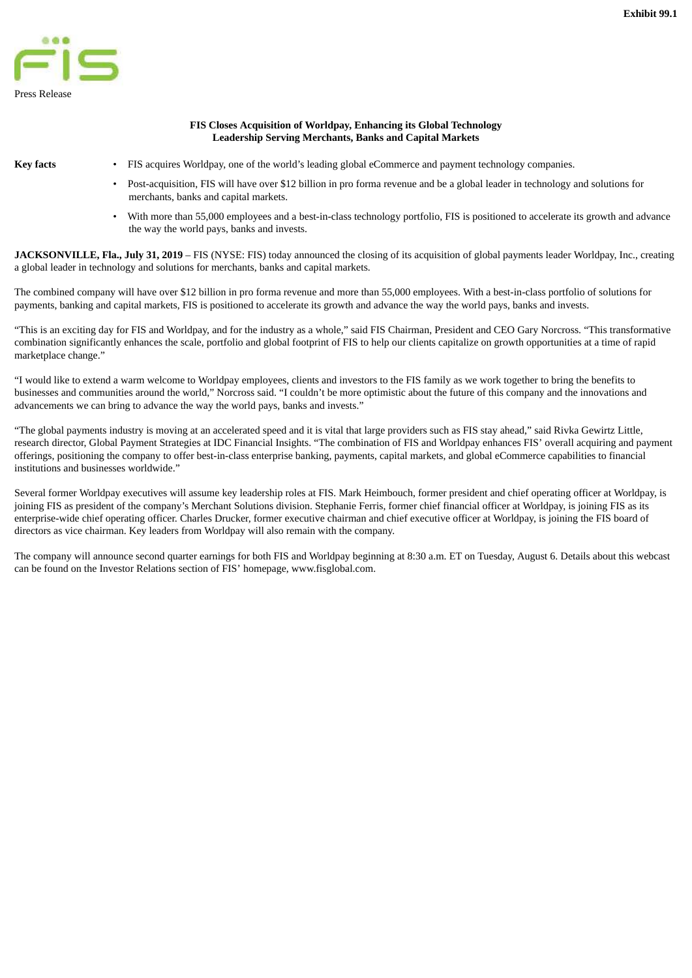<span id="page-23-0"></span>

#### **FIS Closes Acquisition of Worldpay, Enhancing its Global Technology Leadership Serving Merchants, Banks and Capital Markets**

- 
- **Key facts** FIS acquires Worldpay, one of the world's leading global eCommerce and payment technology companies.
	- Post-acquisition, FIS will have over \$12 billion in pro forma revenue and be a global leader in technology and solutions for merchants, banks and capital markets.
	- With more than 55,000 employees and a best-in-class technology portfolio, FIS is positioned to accelerate its growth and advance the way the world pays, banks and invests.

**JACKSONVILLE, Fla., July 31, 2019** – FIS (NYSE: FIS) today announced the closing of its acquisition of global payments leader Worldpay, Inc., creating a global leader in technology and solutions for merchants, banks and capital markets.

The combined company will have over \$12 billion in pro forma revenue and more than 55,000 employees. With a best-in-class portfolio of solutions for payments, banking and capital markets, FIS is positioned to accelerate its growth and advance the way the world pays, banks and invests.

"This is an exciting day for FIS and Worldpay, and for the industry as a whole," said FIS Chairman, President and CEO Gary Norcross. "This transformative combination significantly enhances the scale, portfolio and global footprint of FIS to help our clients capitalize on growth opportunities at a time of rapid marketplace change."

"I would like to extend a warm welcome to Worldpay employees, clients and investors to the FIS family as we work together to bring the benefits to businesses and communities around the world," Norcross said. "I couldn't be more optimistic about the future of this company and the innovations and advancements we can bring to advance the way the world pays, banks and invests."

"The global payments industry is moving at an accelerated speed and it is vital that large providers such as FIS stay ahead," said Rivka Gewirtz Little, research director, Global Payment Strategies at IDC Financial Insights. "The combination of FIS and Worldpay enhances FIS' overall acquiring and payment offerings, positioning the company to offer best-in-class enterprise banking, payments, capital markets, and global eCommerce capabilities to financial institutions and businesses worldwide."

Several former Worldpay executives will assume key leadership roles at FIS. Mark Heimbouch, former president and chief operating officer at Worldpay, is joining FIS as president of the company's Merchant Solutions division. Stephanie Ferris, former chief financial officer at Worldpay, is joining FIS as its enterprise-wide chief operating officer. Charles Drucker, former executive chairman and chief executive officer at Worldpay, is joining the FIS board of directors as vice chairman. Key leaders from Worldpay will also remain with the company.

The company will announce second quarter earnings for both FIS and Worldpay beginning at 8:30 a.m. ET on Tuesday, August 6. Details about this webcast can be found on the Investor Relations section of FIS' homepage, www.fisglobal.com.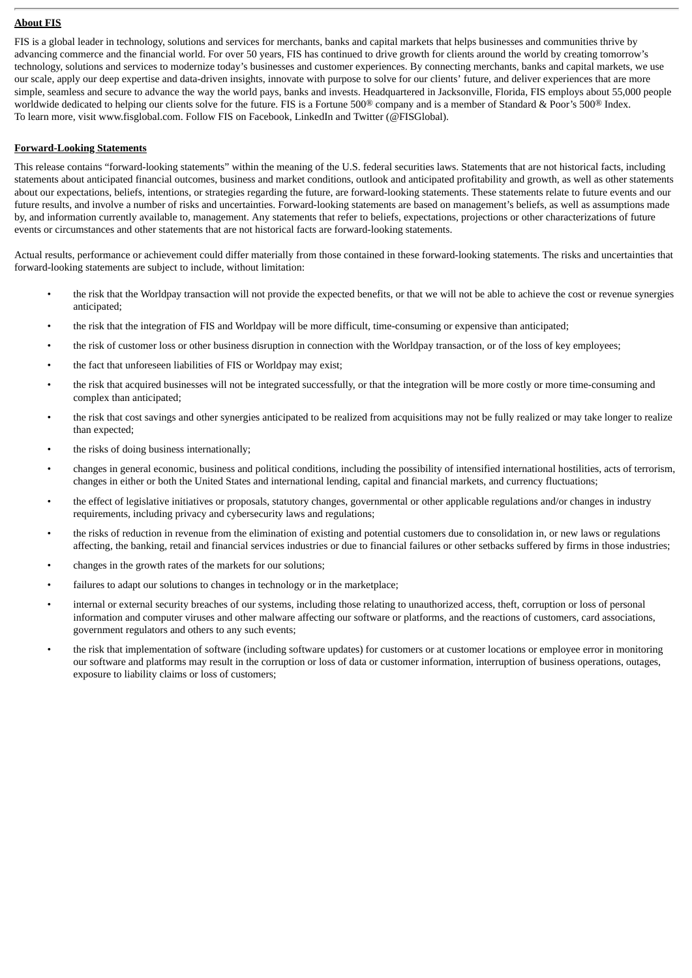#### **About FIS**

FIS is a global leader in technology, solutions and services for merchants, banks and capital markets that helps businesses and communities thrive by advancing commerce and the financial world. For over 50 years, FIS has continued to drive growth for clients around the world by creating tomorrow's technology, solutions and services to modernize today's businesses and customer experiences. By connecting merchants, banks and capital markets, we use our scale, apply our deep expertise and data-driven insights, innovate with purpose to solve for our clients' future, and deliver experiences that are more simple, seamless and secure to advance the way the world pays, banks and invests. Headquartered in Jacksonville, Florida, FIS employs about 55,000 people worldwide dedicated to helping our clients solve for the future. FIS is a Fortune 500® company and is a member of Standard & Poor's 500® Index. To learn more, visit www.fisglobal.com. Follow FIS on Facebook, LinkedIn and Twitter (@FISGlobal).

#### **Forward-Looking Statements**

This release contains "forward-looking statements" within the meaning of the U.S. federal securities laws. Statements that are not historical facts, including statements about anticipated financial outcomes, business and market conditions, outlook and anticipated profitability and growth, as well as other statements about our expectations, beliefs, intentions, or strategies regarding the future, are forward-looking statements. These statements relate to future events and our future results, and involve a number of risks and uncertainties. Forward-looking statements are based on management's beliefs, as well as assumptions made by, and information currently available to, management. Any statements that refer to beliefs, expectations, projections or other characterizations of future events or circumstances and other statements that are not historical facts are forward-looking statements.

Actual results, performance or achievement could differ materially from those contained in these forward-looking statements. The risks and uncertainties that forward-looking statements are subject to include, without limitation:

- the risk that the Worldpay transaction will not provide the expected benefits, or that we will not be able to achieve the cost or revenue synergies anticipated;
- the risk that the integration of FIS and Worldpay will be more difficult, time-consuming or expensive than anticipated;
- the risk of customer loss or other business disruption in connection with the Worldpay transaction, or of the loss of key employees;
- the fact that unforeseen liabilities of FIS or Worldpay may exist;
- the risk that acquired businesses will not be integrated successfully, or that the integration will be more costly or more time-consuming and complex than anticipated;
- the risk that cost savings and other synergies anticipated to be realized from acquisitions may not be fully realized or may take longer to realize than expected;
- the risks of doing business internationally;
- changes in general economic, business and political conditions, including the possibility of intensified international hostilities, acts of terrorism, changes in either or both the United States and international lending, capital and financial markets, and currency fluctuations;
- the effect of legislative initiatives or proposals, statutory changes, governmental or other applicable regulations and/or changes in industry requirements, including privacy and cybersecurity laws and regulations;
- the risks of reduction in revenue from the elimination of existing and potential customers due to consolidation in, or new laws or regulations affecting, the banking, retail and financial services industries or due to financial failures or other setbacks suffered by firms in those industries;
- changes in the growth rates of the markets for our solutions;
- failures to adapt our solutions to changes in technology or in the marketplace;
- internal or external security breaches of our systems, including those relating to unauthorized access, theft, corruption or loss of personal information and computer viruses and other malware affecting our software or platforms, and the reactions of customers, card associations, government regulators and others to any such events;
- the risk that implementation of software (including software updates) for customers or at customer locations or employee error in monitoring our software and platforms may result in the corruption or loss of data or customer information, interruption of business operations, outages, exposure to liability claims or loss of customers;